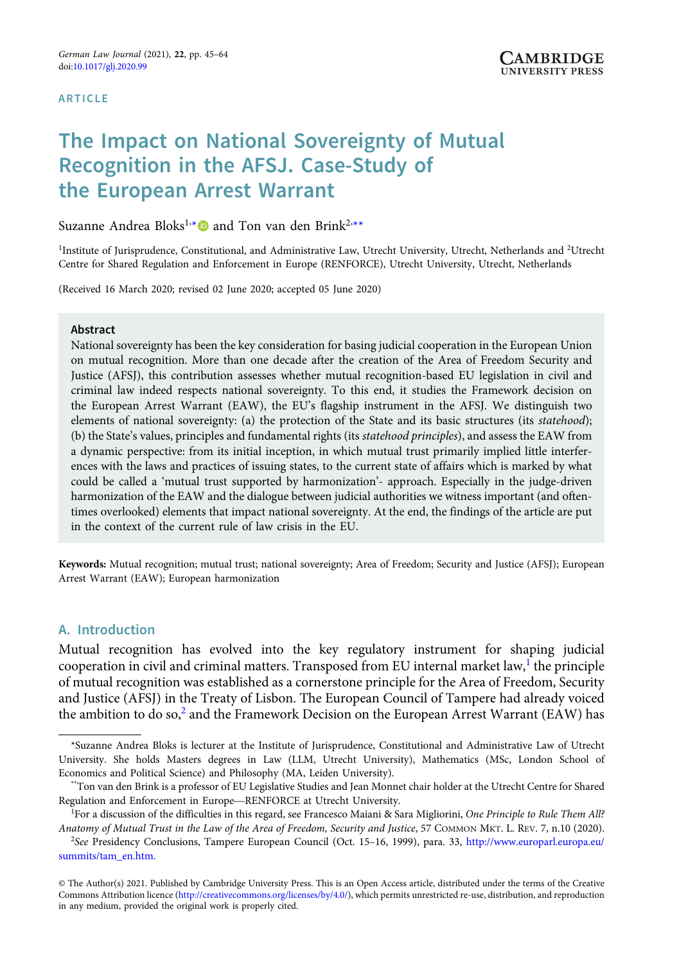#### **ARTICLE**

# The Impact on National Sovereignty of Mutual Recognition in the AFSJ. Case-Study of the European Arrest Warrant

Suzanne Andrea Bloks<sup>1,</sup>\* **@** and Ton van den Brink<sup>2,</sup>\*\*

<sup>1</sup>Institute of Jurisprudence, Constitutional, and Administrative Law, Utrecht University, Utrecht, Netherlands and <sup>2</sup>Utrecht Centre for Shared Regulation and Enforcement in Europe (RENFORCE), Utrecht University, Utrecht, Netherlands

(Received 16 March 2020; revised 02 June 2020; accepted 05 June 2020)

#### Abstract

National sovereignty has been the key consideration for basing judicial cooperation in the European Union on mutual recognition. More than one decade after the creation of the Area of Freedom Security and Justice (AFSJ), this contribution assesses whether mutual recognition-based EU legislation in civil and criminal law indeed respects national sovereignty. To this end, it studies the Framework decision on the European Arrest Warrant (EAW), the EU's flagship instrument in the AFSJ. We distinguish two elements of national sovereignty: (a) the protection of the State and its basic structures (its statehood); (b) the State's values, principles and fundamental rights (its statehood principles), and assess the EAW from a dynamic perspective: from its initial inception, in which mutual trust primarily implied little interferences with the laws and practices of issuing states, to the current state of affairs which is marked by what could be called a 'mutual trust supported by harmonization'- approach. Especially in the judge-driven harmonization of the EAW and the dialogue between judicial authorities we witness important (and oftentimes overlooked) elements that impact national sovereignty. At the end, the findings of the article are put in the context of the current rule of law crisis in the EU.

Keywords: Mutual recognition; mutual trust; national sovereignty; Area of Freedom; Security and Justice (AFSJ); European Arrest Warrant (EAW); European harmonization

# A. Introduction

Mutual recognition has evolved into the key regulatory instrument for shaping judicial cooperation in civil and criminal matters. Transposed from EU internal market law,<sup>1</sup> the principle of mutual recognition was established as a cornerstone principle for the Area of Freedom, Security and Justice (AFSJ) in the Treaty of Lisbon. The European Council of Tampere had already voiced the ambition to do so,<sup>2</sup> and the Framework Decision on the European Arrest Warrant (EAW) has

<sup>\*</sup>Suzanne Andrea Bloks is lecturer at the Institute of Jurisprudence, Constitutional and Administrative Law of Utrecht University. She holds Masters degrees in Law (LLM, Utrecht University), Mathematics (MSc, London School of Economics and Political Science) and Philosophy (MA, Leiden University).<br>"Ton van den Brink is a professor of EU Le Economics and Political Science) and Philosophy (MA, Leiden University).

<sup>\*\*</sup>Ton van den Brink is a professor of EU Legislative Studies and Jean Monnet chair holder at the Utrecht Centre for Shared

<sup>&</sup>lt;sup>1</sup>For a discussion of the difficulties in this regard, see Francesco Maiani & Sara Migliorini, One Principle to Rule Them All? Anatomy of Mutual Trust in the Law of the Area of Freedom, Security and Justice, 57 COMMON MKT. L. REV. 7, n.10 (2020).

<sup>&</sup>lt;sup>2</sup>See Presidency Conclusions, Tampere European Council (Oct. 15-16, 1999), para. 33, [http://www.europarl.europa.eu/](http://www.europarl.europa.eu/summits/tam_en.htm) [summits/tam\\_en.htm](http://www.europarl.europa.eu/summits/tam_en.htm).

<sup>©</sup> The Author(s) 2021. Published by Cambridge University Press. This is an Open Access article, distributed under the terms of the Creative Commons Attribution licence ([http://creativecommons.org/licenses/by/4.0/\)](http://creativecommons.org/licenses/by/4.0/), which permits unrestricted re-use, distribution, and reproduction in any medium, provided the original work is properly cited.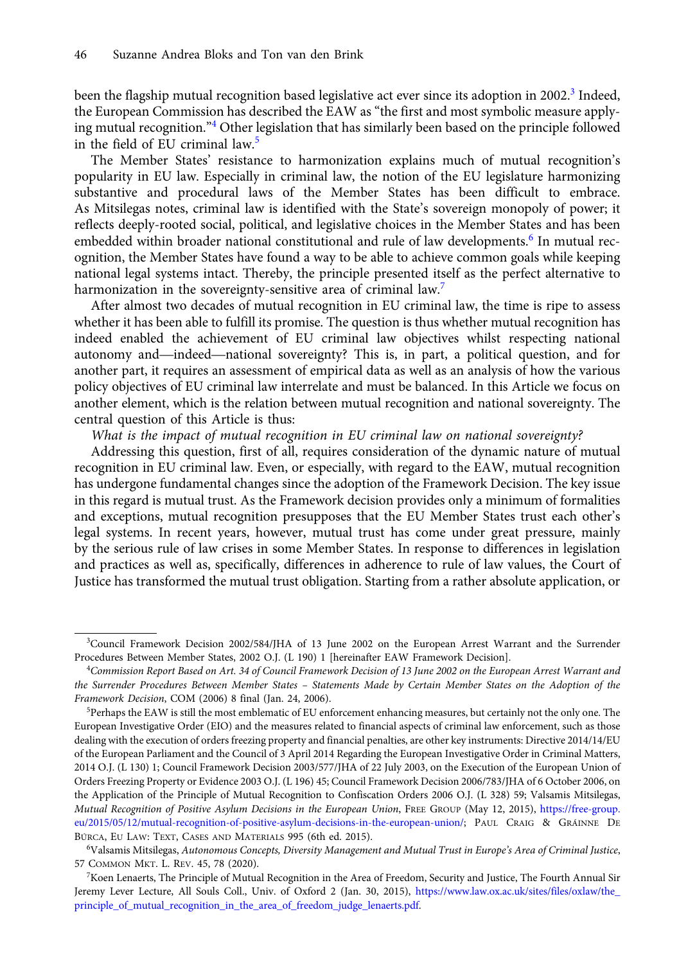been the flagship mutual recognition based legislative act ever since its adoption in 2002.<sup>3</sup> Indeed, the European Commission has described the EAW as "the first and most symbolic measure applying mutual recognition."<sup>4</sup> Other legislation that has similarly been based on the principle followed in the field of EU criminal law.<sup>5</sup>

The Member States' resistance to harmonization explains much of mutual recognition's popularity in EU law. Especially in criminal law, the notion of the EU legislature harmonizing substantive and procedural laws of the Member States has been difficult to embrace. As Mitsilegas notes, criminal law is identified with the State's sovereign monopoly of power; it reflects deeply-rooted social, political, and legislative choices in the Member States and has been embedded within broader national constitutional and rule of law developments.<sup>6</sup> In mutual recognition, the Member States have found a way to be able to achieve common goals while keeping national legal systems intact. Thereby, the principle presented itself as the perfect alternative to harmonization in the sovereignty-sensitive area of criminal law.<sup>7</sup>

After almost two decades of mutual recognition in EU criminal law, the time is ripe to assess whether it has been able to fulfill its promise. The question is thus whether mutual recognition has indeed enabled the achievement of EU criminal law objectives whilst respecting national narmonization in the sovereignty-sensitive area of criminal law.<br>After almost two decades of mutual recognition in EU criminal law, the time is ripe to assess<br>whether it has been able to fulfill its promise. The question i another part, it requires an assessment of empirical data as well as an analysis of how the various policy objectives of EU criminal law interrelate and must be balanced. In this Article we focus on another element, which is the relation between mutual recognition and national sovereignty. The central question of this Article is thus:

What is the impact of mutual recognition in EU criminal law on national sovereignty?

Addressing this question, first of all, requires consideration of the dynamic nature of mutual recognition in EU criminal law. Even, or especially, with regard to the EAW, mutual recognition has undergone fundamental changes since the adoption of the Framework Decision. The key issue in this regard is mutual trust. As the Framework decision provides only a minimum of formalities and exceptions, mutual recognition presupposes that the EU Member States trust each other's legal systems. In recent years, however, mutual trust has come under great pressure, mainly by the serious rule of law crises in some Member States. In response to differences in legislation and practices as well as, specifically, differences in adherence to rule of law values, the Court of Justice has transformed the mutual trust obligation. Starting from a rather absolute application, or

<sup>3</sup> Council Framework Decision 2002/584/JHA of 13 June 2002 on the European Arrest Warrant and the Surrender Procedures Between Member States, 2002 O.J. (L 190) 1 [hereinafter EAW Framework Decision].

<sup>4</sup> Commission Report Based on Art. 34 of Council Framework Decision of 13 June 2002 on the European Arrest Warrant and the Surrender Procedures Between Member States – Statements Made by Certain Member States on the Adoption of the Framework Decision, COM (2006) 8 final (Jan. 24, 2006).

<sup>&</sup>lt;sup>5</sup>Perhaps the EAW is still the most emblematic of EU enforcement enhancing measures, but certainly not the only one. The European Investigative Order (EIO) and the measures related to financial aspects of criminal law enforcement, such as those dealing with the execution of orders freezing property and financial penalties, are other key instruments: Directive 2014/14/EU of the European Parliament and the Council of 3 April 2014 Regarding the European Investigative Order in Criminal Matters, 2014 O.J. (L 130) 1; Council Framework Decision 2003/577/JHA of 22 July 2003, on the Execution of the European Union of Orders Freezing Property or Evidence 2003 O.J. (L 196) 45; Council Framework Decision 2006/783/JHA of 6 October 2006, on the Application of the Principle of Mutual Recognition to Confiscation Orders 2006 O.J. (L 328) 59; Valsamis Mitsilegas, Mutual Recognition of Positive Asylum Decisions in the European Union, FREE GROUP (May 12, 2015), [https://free-group.](https://free-group.eu/2015/05/12/mutual-recognition-of-positive-asylum-decisions-in-the-european-union/) [eu/2015/05/12/mutual-recognition-of-positive-asylum-decisions-in-the-european-union/;](https://free-group.eu/2015/05/12/mutual-recognition-of-positive-asylum-decisions-in-the-european-union/) PAUL CRAIG & GRÁINNE DE BÚRCA, EU LAW: TEXT, CASES AND MATERIALS 995 (6th ed. 2015).

<sup>6</sup> Valsamis Mitsilegas, Autonomous Concepts, Diversity Management and Mutual Trust in Europe's Area of Criminal Justice, 57 COMMON MKT. L. REV. 45, 78 (2020).

<sup>7</sup> Koen Lenaerts, The Principle of Mutual Recognition in the Area of Freedom, Security and Justice, The Fourth Annual Sir Jeremy Lever Lecture, All Souls Coll., Univ. of Oxford 2 (Jan. 30, 2015), [https://www.law.ox.ac.uk/sites/files/oxlaw/the\\_](https://www.law.ox.ac.uk/sites/files/oxlaw/the_principle_of_mutual_recognition_in_the_area_of_freedom_judge_lenaerts.pdf) [principle\\_of\\_mutual\\_recognition\\_in\\_the\\_area\\_of\\_freedom\\_judge\\_lenaerts.pdf](https://www.law.ox.ac.uk/sites/files/oxlaw/the_principle_of_mutual_recognition_in_the_area_of_freedom_judge_lenaerts.pdf).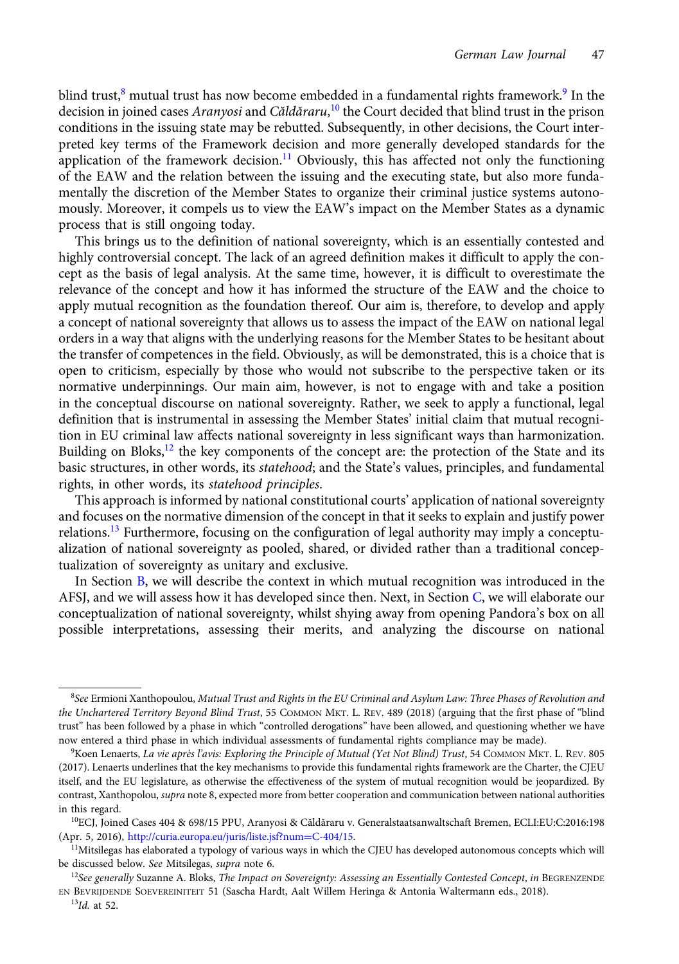blind trust, $8$  mutual trust has now become embedded in a fundamental rights framework. $9$  In the decision in joined cases *Aranyosi* and C*ăldăraru*,<sup>10</sup> the Court decided that blind trust in the prison conditions in the issuing state may be rebutted. Subsequently, in other decisions, the Court interpreted key terms of the Framework decision and more generally developed standards for the application of the framework decision.<sup>11</sup> Obviously, this has affected not only the functioning of the EAW and the relation between the issuing and the executing state, but also more fundamentally the discretion of the Member States to organize their criminal justice systems autonomously. Moreover, it compels us to view the EAW's impact on the Member States as a dynamic process that is still ongoing today.

This brings us to the definition of national sovereignty, which is an essentially contested and highly controversial concept. The lack of an agreed definition makes it difficult to apply the concept as the basis of legal analysis. At the same time, however, it is difficult to overestimate the relevance of the concept and how it has informed the structure of the EAW and the choice to apply mutual recognition as the foundation thereof. Our aim is, therefore, to develop and apply a concept of national sovereignty that allows us to assess the impact of the EAW on national legal orders in a way that aligns with the underlying reasons for the Member States to be hesitant about the transfer of competences in the field. Obviously, as will be demonstrated, this is a choice that is open to criticism, especially by those who would not subscribe to the perspective taken or its normative underpinnings. Our main aim, however, is not to engage with and take a position in the conceptual discourse on national sovereignty. Rather, we seek to apply a functional, legal definition that is instrumental in assessing the Member States' initial claim that mutual recognition in EU criminal law affects national sovereignty in less significant ways than harmonization. Building on Bloks,<sup>12</sup> the key components of the concept are: the protection of the State and its basic structures, in other words, its statehood; and the State's values, principles, and fundamental rights, in other words, its statehood principles.

This approach is informed by national constitutional courts' application of national sovereignty and focuses on the normative dimension of the concept in that it seeks to explain and justify power relations.<sup>13</sup> Furthermore, focusing on the configuration of legal authority may imply a conceptualization of national sovereignty as pooled, shared, or divided rather than a traditional conceptualization of sovereignty as unitary and exclusive.

In Section [B](#page-3-0), we will describe the context in which mutual recognition was introduced in the AFSJ, and we will assess how it has developed since then. Next, in Section [C](#page-6-0), we will elaborate our conceptualization of national sovereignty, whilst shying away from opening Pandora's box on all possible interpretations, assessing their merits, and analyzing the discourse on national

 $^8$ See Ermioni Xanthopoulou, Mutual Trust and Rights in the EU Criminal and Asylum Law: Three Phases of Revolution and the Unchartered Territory Beyond Blind Trust, 55 COMMON MKT. L. REV. 489 (2018) (arguing that the first phase of "blind trust" has been followed by a phase in which "controlled derogations" have been allowed, and questioning whether we have now entered a third phase in which individual assessments of fundamental rights compliance may be made).

<sup>&</sup>lt;sup>9</sup>Koen Lenaerts, *La vie après l'avis: Exploring the Principle of Mutual (Yet Not Blind) Trust*, 54 COMMON MKT. L. REV. 805 (2017). Lenaerts underlines that the key mechanisms to provide this fundamental rights framework are the Charter, the CJEU itself, and the EU legislature, as otherwise the effectiveness of the system of mutual recognition would be jeopardized. By contrast, Xanthopolou, supra note 8, expected more from better cooperation and communication between national authorities in this regard.

<sup>10</sup>ECJ, Joined Cases 404 & 698/15 PPU, Aranyosi & Căldăraru v. Generalstaatsanwaltschaft Bremen, ECLI:EU:C:2016:198 (Apr. 5, 2016), [http://curia.europa.eu/juris/liste.jsf?num](http://curia.europa.eu/juris/liste.jsf?num%3dC-404/15)=[C-404/15.](http://curia.europa.eu/juris/liste.jsf?num%3dC-404/15)

<sup>&</sup>lt;sup>11</sup>Mitsilegas has elaborated a typology of various ways in which the CJEU has developed autonomous concepts which will be discussed below. See Mitsilegas, supra note 6.

 $12$ See generally Suzanne A. Bloks, The Impact on Sovereignty: Assessing an Essentially Contested Concept, in BEGRENZENDE EN BEVRIJDENDE SOEVEREINITEIT 51 (Sascha Hardt, Aalt Willem Heringa & Antonia Waltermann eds., 2018).

 $^{13}$ Id. at 52.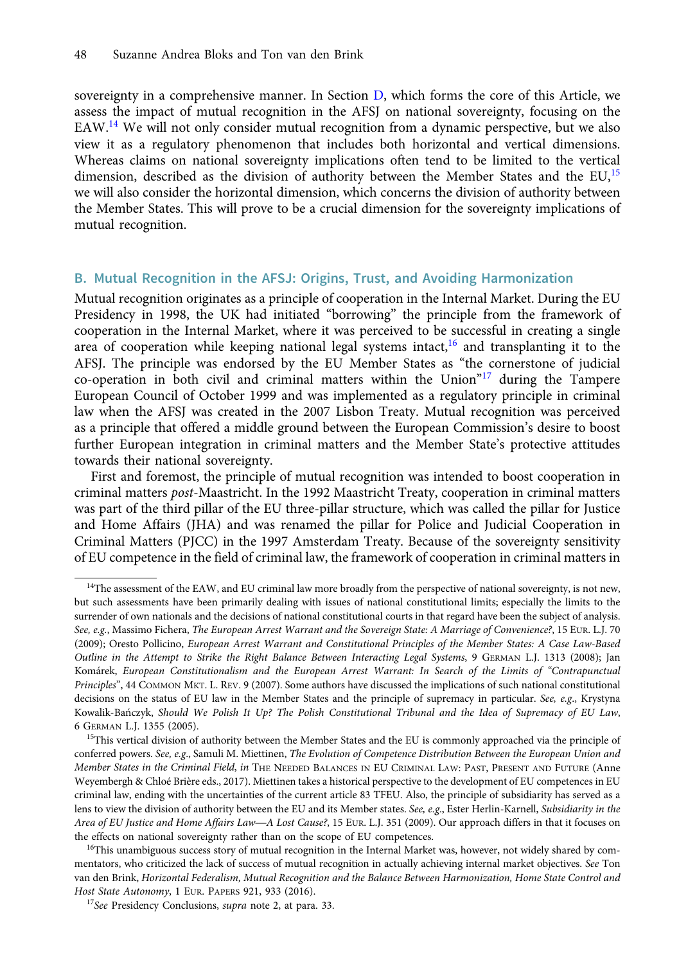<span id="page-3-0"></span>sovereignty in a comprehensive manner. In Section [D,](#page-8-0) which forms the core of this Article, we assess the impact of mutual recognition in the AFSJ on national sovereignty, focusing on the EAW.<sup>14</sup> We will not only consider mutual recognition from a dynamic perspective, but we also view it as a regulatory phenomenon that includes both horizontal and vertical dimensions. Whereas claims on national sovereignty implications often tend to be limited to the vertical dimension, described as the division of authority between the Member States and the  $EU<sup>15</sup>$ we will also consider the horizontal dimension, which concerns the division of authority between the Member States. This will prove to be a crucial dimension for the sovereignty implications of mutual recognition.

## B. Mutual Recognition in the AFSJ: Origins, Trust, and Avoiding Harmonization

Mutual recognition originates as a principle of cooperation in the Internal Market. During the EU Presidency in 1998, the UK had initiated "borrowing" the principle from the framework of cooperation in the Internal Market, where it was perceived to be successful in creating a single area of cooperation while keeping national legal systems intact,<sup>16</sup> and transplanting it to the AFSJ. The principle was endorsed by the EU Member States as "the cornerstone of judicial co-operation in both civil and criminal matters within the Union $n^{17}$  during the Tampere European Council of October 1999 and was implemented as a regulatory principle in criminal law when the AFSJ was created in the 2007 Lisbon Treaty. Mutual recognition was perceived as a principle that offered a middle ground between the European Commission's desire to boost further European integration in criminal matters and the Member State's protective attitudes towards their national sovereignty.

First and foremost, the principle of mutual recognition was intended to boost cooperation in criminal matters post-Maastricht. In the 1992 Maastricht Treaty, cooperation in criminal matters was part of the third pillar of the EU three-pillar structure, which was called the pillar for Justice and Home Affairs (JHA) and was renamed the pillar for Police and Judicial Cooperation in Criminal Matters (PJCC) in the 1997 Amsterdam Treaty. Because of the sovereignty sensitivity of EU competence in the field of criminal law, the framework of cooperation in criminal matters in

<sup>&</sup>lt;sup>14</sup>The assessment of the EAW, and EU criminal law more broadly from the perspective of national sovereignty, is not new, but such assessments have been primarily dealing with issues of national constitutional limits; especially the limits to the surrender of own nationals and the decisions of national constitutional courts in that regard have been the subject of analysis. See, e.g., Massimo Fichera, The European Arrest Warrant and the Sovereign State: A Marriage of Convenience?, 15 EUR. L.J. 70 (2009); Oresto Pollicino, European Arrest Warrant and Constitutional Principles of the Member States: A Case Law-Based Outline in the Attempt to Strike the Right Balance Between Interacting Legal Systems,9GERMAN L.J. 1313 (2008); Jan Komárek, European Constitutionalism and the European Arrest Warrant: In Search of the Limits of "Contrapunctual Principles", 44 COMMON MKT. L. REV. 9 (2007). Some authors have discussed the implications of such national constitutional decisions on the status of EU law in the Member States and the principle of supremacy in particular. See, e.g., Krystyna Kowalik-Bańczyk, Should We Polish It Up? The Polish Constitutional Tribunal and the Idea of Supremacy of EU Law, 6 GERMAN L.J. 1355 (2005).

<sup>&</sup>lt;sup>15</sup>This vertical division of authority between the Member States and the EU is commonly approached via the principle of conferred powers. See, e.g., Samuli M. Miettinen, The Evolution of Competence Distribution Between the European Union and Member States in the Criminal Field, in THE NEEDED BALANCES IN EU CRIMINAL LAW: PAST, PRESENT AND FUTURE (Anne Weyembergh & Chloé Brière eds., 2017). Miettinen takes a historical perspective to the development of EU competences in EU criminal law, ending with the uncertainties of the current article 83 TFEU. Also, the principle of criminal law, ending with the uncertainties of the current article 83 TFEU. Also, the principle of subsidiarity has served as a lens to view the division of authority between the EU and its Member states. See, e.g., Ester Herlin-Karnell, Subsidiarity in the the effects on national sovereignty rather than on the scope of EU competences.

<sup>&</sup>lt;sup>16</sup>This unambiguous success story of mutual recognition in the Internal Market was, however, not widely shared by commentators, who criticized the lack of success of mutual recognition in actually achieving internal market objectives. See Ton van den Brink, Horizontal Federalism, Mutual Recognition and the Balance Between Harmonization, Home State Control and Host State Autonomy, 1 EUR. PAPERS 921, 933 (2016).

<sup>&</sup>lt;sup>17</sup>See Presidency Conclusions, *supra* note 2, at para. 33.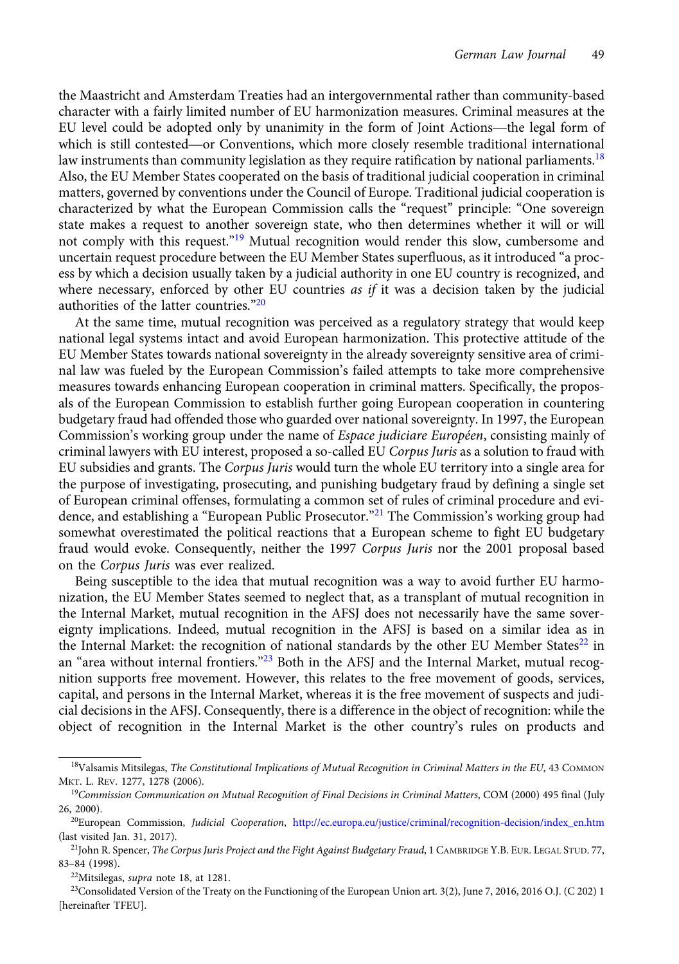the Maastricht and Amsterdam Treaties had an intergovernmental rather than community-based character with a fairly limited number of EU harmonization measures. Criminal measures at the the Maastricht and Amsterdam Treaties had an intergovernmental rather than community-based<br>character with a fairly limited number of EU harmonization measures. Criminal measures at the<br>EU level could be adopted only by una the Maastricht and Amsterdam Treaties had an intergovernmental rather than community-based<br>character with a fairly limited number of EU harmonization measures. Criminal measures at the<br>EU level could be adopted only by una law instruments than community legislation as they require ratification by national parliaments.<sup>18</sup> Also, the EU Member States cooperated on the basis of traditional judicial cooperation in criminal matters, governed by conventions under the Council of Europe. Traditional judicial cooperation is characterized by what the European Commission calls the "request" principle: "One sovereign state makes a request to another sovereign state, who then determines whether it will or will not comply with this request."<sup>19</sup> Mutual recognition would render this slow, cumbersome and uncertain request procedure between the EU Member States superfluous, as it introduced "a process by which a decision usually taken by a judicial authority in one EU country is recognized, and where necessary, enforced by other EU countries *as if* it was a decision taken by the judicial authorities of the latter countries."20

At the same time, mutual recognition was perceived as a regulatory strategy that would keep national legal systems intact and avoid European harmonization. This protective attitude of the EU Member States towards national sovereignty in the already sovereignty sensitive area of criminal law was fueled by the European Commission's failed attempts to take more comprehensive measures towards enhancing European cooperation in criminal matters. Specifically, the proposals of the European Commission to establish further going European cooperation in countering budgetary fraud had offended those who guarded over national sovereignty. In 1997, the European Commission's working group under the name of Espace judiciare Européen, consisting mainly of criminal lawyers with EU interest, proposed a so-called EU Corpus Juris as a solution to fraud with EU subsidies and grants. The Corpus Juris would turn the whole EU territory into a single area for the purpose of investigating, prosecuting, and punishing budgetary fraud by defining a single set of European criminal offenses, formulating a common set of rules of criminal procedure and evidence, and establishing a "European Public Prosecutor."<sup>21</sup> The Commission's working group had somewhat overestimated the political reactions that a European scheme to fight EU budgetary fraud would evoke. Consequently, neither the 1997 Corpus Juris nor the 2001 proposal based on the Corpus Juris was ever realized.

Being susceptible to the idea that mutual recognition was a way to avoid further EU harmonization, the EU Member States seemed to neglect that, as a transplant of mutual recognition in the Internal Market, mutual recognition in the AFSJ does not necessarily have the same sovereignty implications. Indeed, mutual recognition in the AFSJ is based on a similar idea as in the Internal Market: the recognition of national standards by the other EU Member States $^{22}$  in an "area without internal frontiers."<sup>23</sup> Both in the AFSJ and the Internal Market, mutual recognition supports free movement. However, this relates to the free movement of goods, services, capital, and persons in the Internal Market, whereas it is the free movement of suspects and judicial decisions in the AFSJ. Consequently, there is a difference in the object of recognition: while the object of recognition in the Internal Market is the other country's rules on products and

<sup>18</sup>Valsamis Mitsilegas, The Constitutional Implications of Mutual Recognition in Criminal Matters in the EU, 43 COMMON MKT. L. REV. 1277, 1278 (2006).

 $19$ Commission Communication on Mutual Recognition of Final Decisions in Criminal Matters, COM (2000) 495 final (July 26, 2000).

<sup>&</sup>lt;sup>20</sup>European Commission, Judicial Cooperation, [http://ec.europa.eu/justice/criminal/recognition-decision/index\\_en.htm](http://ec.europa.eu/justice/criminal/recognition-decision/index_en.htm) (last visited Jan. 31, 2017).

<sup>&</sup>lt;sup>21</sup>John R. Spencer, The Corpus Juris Project and the Fight Against Budgetary Fraud, 1 CAMBRIDGE Y.B. EUR. LEGAL STUD. 77, 83–84 (1998).

<sup>&</sup>lt;sup>22</sup>Mitsilegas, *supra* note 18, at 1281.

<sup>&</sup>lt;sup>23</sup>Consolidated Version of the Treaty on the Functioning of the European Union art. 3(2), June 7, 2016, 2016 O.J. (C 202) 1 [hereinafter TFEU].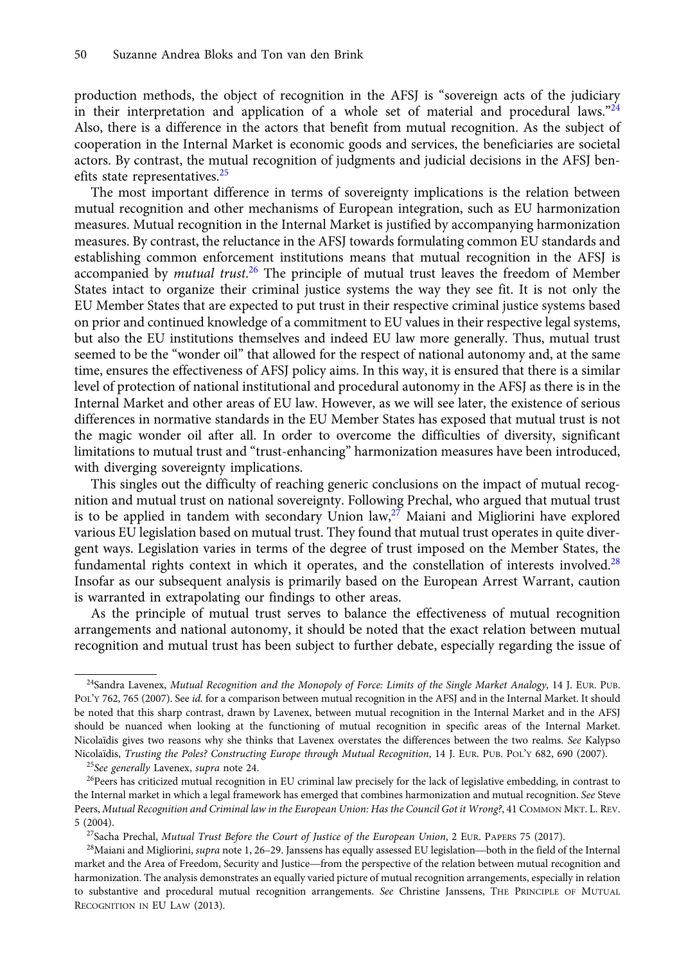production methods, the object of recognition in the AFSJ is "sovereign acts of the judiciary in their interpretation and application of a whole set of material and procedural laws."<sup>24</sup> Also, there is a difference in the actors that benefit from mutual recognition. As the subject of cooperation in the Internal Market is economic goods and services, the beneficiaries are societal actors. By contrast, the mutual recognition of judgments and judicial decisions in the AFSJ benefits state representatives.<sup>25</sup>

The most important difference in terms of sovereignty implications is the relation between mutual recognition and other mechanisms of European integration, such as EU harmonization measures. Mutual recognition in the Internal Market is justified by accompanying harmonization measures. By contrast, the reluctance in the AFSJ towards formulating common EU standards and establishing common enforcement institutions means that mutual recognition in the AFSJ is accompanied by *mutual trust*.<sup>26</sup> The principle of mutual trust leaves the freedom of Member States intact to organize their criminal justice systems the way they see fit. It is not only the EU Member States that are expected to put trust in their respective criminal justice systems based on prior and continued knowledge of a commitment to EU values in their respective legal systems, but also the EU institutions themselves and indeed EU law more generally. Thus, mutual trust seemed to be the "wonder oil" that allowed for the respect of national autonomy and, at the same time, ensures the effectiveness of AFSJ policy aims. In this way, it is ensured that there is a similar level of protection of national institutional and procedural autonomy in the AFSJ as there is in the Internal Market and other areas of EU law. However, as we will see later, the existence of serious differences in normative standards in the EU Member States has exposed that mutual trust is not the magic wonder oil after all. In order to overcome the difficulties of diversity, significant limitations to mutual trust and "trust-enhancing" harmonization measures have been introduced, with diverging sovereignty implications.

This singles out the difficulty of reaching generic conclusions on the impact of mutual recognition and mutual trust on national sovereignty. Following Prechal, who argued that mutual trust is to be applied in tandem with secondary Union  $law<sub>1</sub><sup>27</sup>$  Maiani and Migliorini have explored various EU legislation based on mutual trust. They found that mutual trust operates in quite divergent ways. Legislation varies in terms of the degree of trust imposed on the Member States, the fundamental rights context in which it operates, and the constellation of interests involved. $^{28}$ Insofar as our subsequent analysis is primarily based on the European Arrest Warrant, caution is warranted in extrapolating our findings to other areas.

As the principle of mutual trust serves to balance the effectiveness of mutual recognition arrangements and national autonomy, it should be noted that the exact relation between mutual recognition and mutual trust has been subject to further debate, especially regarding the issue of

<sup>&</sup>lt;sup>24</sup>Sandra Lavenex, Mutual Recognition and the Monopoly of Force: Limits of the Single Market Analogy, 14 J. EUR. PUB. POL'Y 762, 765 (2007). See id. for a comparison between mutual recognition in the AFSJ and in the Internal Market. It should be noted that this sharp contrast, drawn by Lavenex, between mutual recognition in the Internal Market and in the AFSJ should be nuanced when looking at the functioning of mutual recognition in specific areas of the Internal Market. Nicolaïdis gives two reasons why she thinks that Lavenex overstates the differences between the two realms. See Kalypso Nicolaïdis, Trusting the Poles? Constructing Europe through Mutual Recognition, 14 J. EUR. PUB. POL'Y 682, 690 (2007).

<sup>&</sup>lt;sup>25</sup>See generally Lavenex, supra note 24.

 $26$ Peers has criticized mutual recognition in EU criminal law precisely for the lack of legislative embedding, in contrast to the Internal market in which a legal framework has emerged that combines harmonization and mutual recognition. See Steve Peers, Mutual Recognition and Criminal law in the European Union: Has the Council Got it Wrong?, 41 COMMON MKT. L. REV. 5 (2004). ers, *Mutual Recognition and Criminal law in the European Union: Has the Council Got it Wrong?*, 41 COMMON MKT. L. REV.<br>2004).<br><sup>27</sup>Sacha Prechal, *Mutual Trust Before the Court of Justice of the European Union*, 2 EUR. PAP

<sup>&</sup>lt;sup>27</sup>Sacha Prechal, Mutual Trust Before the Court of Justice of the European Union, 2 EUR. PAPERS 75 (2017).

market and the Area of Freedom, Security and Justice of the European Union, 2 EUR. PAPERS 75 (2017).<br><sup>28</sup>Maiani and Migliorini, *supra* note 1, 26–29. Janssens has equally assessed EU legislation—both in the field of the I harmonization. The analysis demonstrates an equally varied picture of mutual recognition arrangements, especially in relation to substantive and procedural mutual recognition arrangements. See Christine Janssens, THE PRINCIPLE OF MUTUAL RECOGNITION IN EU LAW (2013).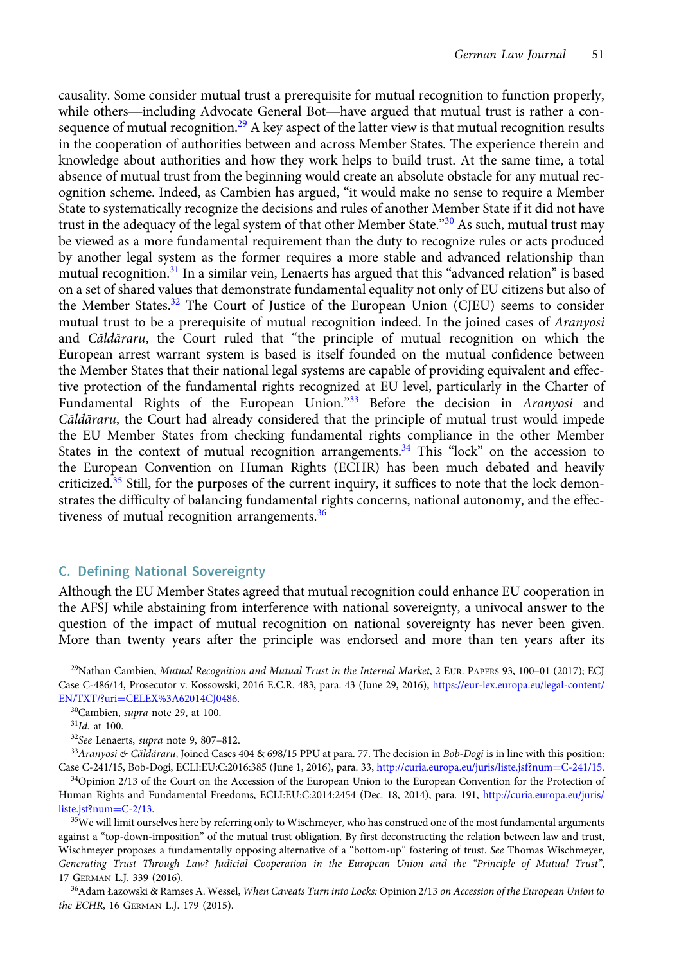<span id="page-6-0"></span>causality. Some consider mutual trust a prerequisite for mutual recognition to function properly, German Law Journal 51<br>Causality. Some consider mutual trust a prerequisite for mutual recognition to function properly,<br>while others—including Advocate General Bot—have argued that mutual trust is rather a consequence of mutual recognition.<sup>29</sup> A key aspect of the latter view is that mutual recognition results in the cooperation of authorities between and across Member States. The experience therein and knowledge about authorities and how they work helps to build trust. At the same time, a total absence of mutual trust from the beginning would create an absolute obstacle for any mutual recognition scheme. Indeed, as Cambien has argued, "it would make no sense to require a Member State to systematically recognize the decisions and rules of another Member State if it did not have trust in the adequacy of the legal system of that other Member State.<sup>"30</sup> As such, mutual trust may be viewed as a more fundamental requirement than the duty to recognize rules or acts produced by another legal system as the former requires a more stable and advanced relationship than mutual recognition.<sup>31</sup> In a similar vein, Lenaerts has argued that this "advanced relation" is based on a set of shared values that demonstrate fundamental equality not only of EU citizens but also of the Member States.<sup>32</sup> The Court of Justice of the European Union (CJEU) seems to consider mutual trust to be a prerequisite of mutual recognition indeed. In the joined cases of Aranyosi and Căldăraru, the Court ruled that "the principle of mutual recognition on which the European arrest warrant system is based is itself founded on the mutual confidence between the Member States that their national legal systems are capable of providing equivalent and effective protection of the fundamental rights recognized at EU level, particularly in the Charter of Fundamental Rights of the European Union."<sup>33</sup> Before the decision in Aranyosi and Căldăraru, the Court had already considered that the principle of mutual trust would impede the EU Member States from checking fundamental rights compliance in the other Member States in the context of mutual recognition arrangements.<sup>34</sup> This "lock" on the accession to the European Convention on Human Rights (ECHR) has been much debated and heavily criticized.<sup>35</sup> Still, for the purposes of the current inquiry, it suffices to note that the lock demonstrates the difficulty of balancing fundamental rights concerns, national autonomy, and the effectiveness of mutual recognition arrangements.<sup>36</sup>

# C. Defining National Sovereignty

Although the EU Member States agreed that mutual recognition could enhance EU cooperation in the AFSJ while abstaining from interference with national sovereignty, a univocal answer to the question of the impact of mutual recognition on national sovereignty has never been given. More than twenty years after the principle was endorsed and more than ten years after its

<sup>&</sup>lt;sup>29</sup>Nathan Cambien, *Mutual Recognition and Mutual Trust in the Internal Market*, 2 EUR. PAPERS 93, 100–01 (2017); ECJ Case C-486/14, Prosecutor v. Kossowski, 2016 E.C.R. 483, para. 43 (June 29, 2016), [https://eur-lex.europa.eu/legal-content/](https://eur-lex.europa.eu/legal-content/EN/TXT/?uri%3dCELEX%3A62014CJ0486) [EN/TXT/?uri](https://eur-lex.europa.eu/legal-content/EN/TXT/?uri%3dCELEX%3A62014CJ0486)=[CELEX%3A62014CJ0486](https://eur-lex.europa.eu/legal-content/EN/TXT/?uri%3dCELEX%3A62014CJ0486).

<sup>30</sup>Cambien, supra note 29, at 100.

 $31$ Id. at 100.

<sup>&</sup>lt;sup>32</sup>See Lenaerts, supra note 9, 807-812.

 $33$ Aranyosi & Căldăraru, Joined Cases 404 & 698/15 PPU at para. 77. The decision in Bob-Dogi is in line with this position: Case C-241/15, Bob-Dogi, ECLI:EU:C:2016:385 (June 1, 2016), para. 33, [http://curia.europa.eu/juris/liste.jsf?num](http://curia.europa.eu/juris/liste.jsf?num%3dC-241/15)=[C-241/15](http://curia.europa.eu/juris/liste.jsf?num%3dC-241/15).

<sup>&</sup>lt;sup>34</sup>Opinion 2/13 of the Court on the Accession of the European Union to the European Convention for the Protection of Human Rights and Fundamental Freedoms, ECLI:EU:C:2014:2454 (Dec. 18, 2014), para. 191, [http://curia.europa.eu/juris/](http://curia.europa.eu/juris/liste.jsf?num%3dC-2/13) [liste.jsf?num](http://curia.europa.eu/juris/liste.jsf?num%3dC-2/13)=[C-2/13](http://curia.europa.eu/juris/liste.jsf?num%3dC-2/13).

<sup>&</sup>lt;sup>35</sup>We will limit ourselves here by referring only to Wischmeyer, who has construed one of the most fundamental arguments against a "top-down-imposition" of the mutual trust obligation. By first deconstructing the relation between law and trust, Wischmeyer proposes a fundamentally opposing alternative of a "bottom-up" fostering of trust. See Thomas Wischmeyer, Generating Trust Through Law? Judicial Cooperation in the European Union and the "Principle of Mutual Trust", 17 GERMAN L.J. 339 (2016).

<sup>&</sup>lt;sup>36</sup>Adam Łazowski & Ramses A. Wessel, When Caveats Turn into Locks: Opinion 2/13 on Accession of the European Union to the ECHR, 16 GERMAN L.J. 179 (2015).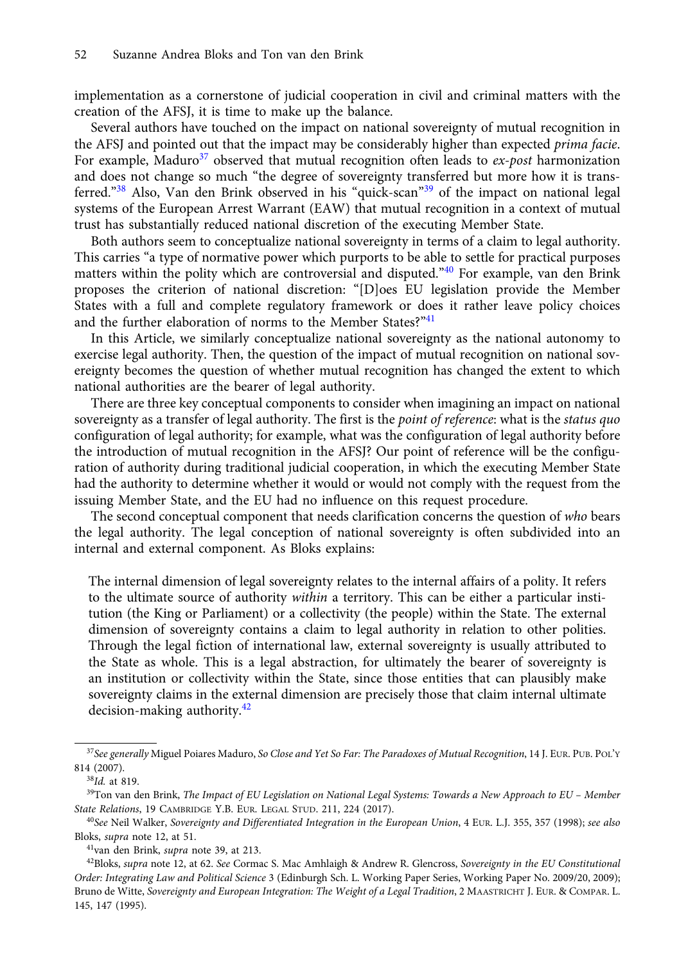implementation as a cornerstone of judicial cooperation in civil and criminal matters with the creation of the AFSJ, it is time to make up the balance.

Several authors have touched on the impact on national sovereignty of mutual recognition in the AFSJ and pointed out that the impact may be considerably higher than expected prima facie. For example, Maduro<sup>37</sup> observed that mutual recognition often leads to *ex-post* harmonization and does not change so much "the degree of sovereignty transferred but more how it is transferred."<sup>38</sup> Also, Van den Brink observed in his "quick-scan"<sup>39</sup> of the impact on national legal systems of the European Arrest Warrant (EAW) that mutual recognition in a context of mutual trust has substantially reduced national discretion of the executing Member State.

Both authors seem to conceptualize national sovereignty in terms of a claim to legal authority. This carries "a type of normative power which purports to be able to settle for practical purposes matters within the polity which are controversial and disputed."<sup>40</sup> For example, van den Brink proposes the criterion of national discretion: "[D]oes EU legislation provide the Member States with a full and complete regulatory framework or does it rather leave policy choices and the further elaboration of norms to the Member States?"<sup>41</sup>

In this Article, we similarly conceptualize national sovereignty as the national autonomy to exercise legal authority. Then, the question of the impact of mutual recognition on national sovereignty becomes the question of whether mutual recognition has changed the extent to which national authorities are the bearer of legal authority.

There are three key conceptual components to consider when imagining an impact on national sovereignty as a transfer of legal authority. The first is the point of reference: what is the status quo configuration of legal authority; for example, what was the configuration of legal authority before the introduction of mutual recognition in the AFSJ? Our point of reference will be the configuration of authority during traditional judicial cooperation, in which the executing Member State had the authority to determine whether it would or would not comply with the request from the issuing Member State, and the EU had no influence on this request procedure.

The second conceptual component that needs clarification concerns the question of who bears the legal authority. The legal conception of national sovereignty is often subdivided into an internal and external component. As Bloks explains:

The internal dimension of legal sovereignty relates to the internal affairs of a polity. It refers to the ultimate source of authority within a territory. This can be either a particular institution (the King or Parliament) or a collectivity (the people) within the State. The external dimension of sovereignty contains a claim to legal authority in relation to other polities. Through the legal fiction of international law, external sovereignty is usually attributed to the State as whole. This is a legal abstraction, for ultimately the bearer of sovereignty is an institution or collectivity within the State, since those entities that can plausibly make sovereignty claims in the external dimension are precisely those that claim internal ultimate decision-making authority.42

<sup>&</sup>lt;sup>37</sup>See generally Miguel Poiares Maduro, So Close and Yet So Far: The Paradoxes of Mutual Recognition, 14 J. EUR. PUB. POL'Y 814 (2007).

<sup>38</sup>Id. at 819.

<sup>&</sup>lt;sup>39</sup>Ton van den Brink, The Impact of EU Legislation on National Legal Systems: Towards a New Approach to EU - Member State Relations, 19 CAMBRIDGE Y.B. EUR. LEGAL STUD. 211, 224 (2017).

 $^{40}$ See Neil Walker, Sovereignty and Differentiated Integration in the European Union, 4 EUR. L.J. 355, 357 (1998); see also Bloks, supra note 12, at 51.

<sup>41</sup>van den Brink, supra note 39, at 213.

 $42B$ loks, supra note 12, at 62. See Cormac S. Mac Amhlaigh & Andrew R. Glencross, Sovereignty in the EU Constitutional Order: Integrating Law and Political Science 3 (Edinburgh Sch. L. Working Paper Series, Working Paper No. 2009/20, 2009); Bruno de Witte, Sovereignty and European Integration: The Weight of a Legal Tradition, 2 MAASTRICHT J. EUR. & COMPAR. L. 145, 147 (1995).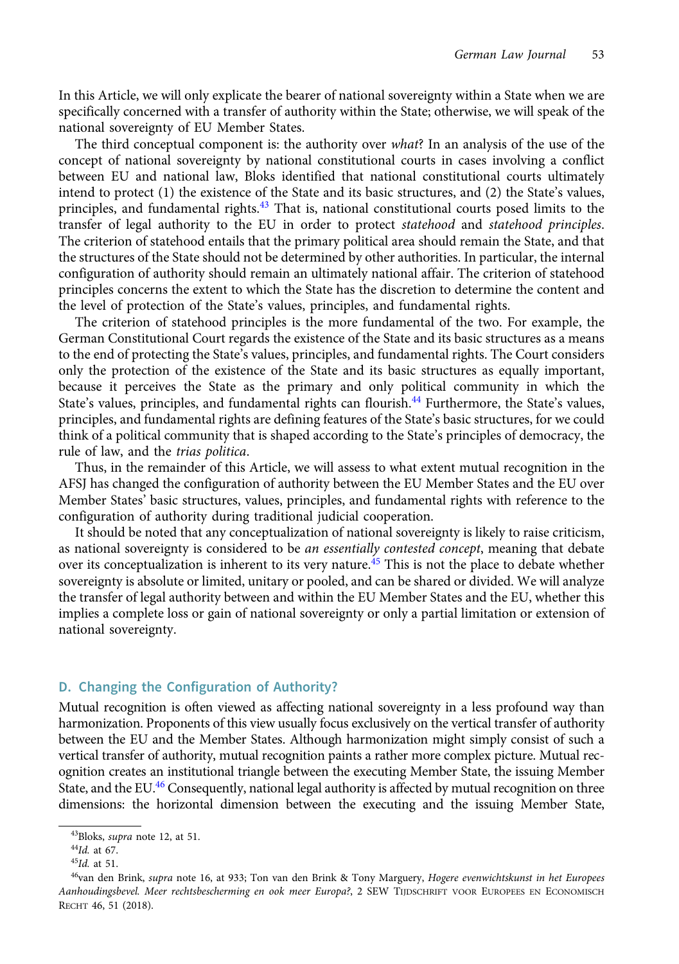<span id="page-8-0"></span>In this Article, we will only explicate the bearer of national sovereignty within a State when we are specifically concerned with a transfer of authority within the State; otherwise, we will speak of the national sovereignty of EU Member States.

The third conceptual component is: the authority over what? In an analysis of the use of the concept of national sovereignty by national constitutional courts in cases involving a conflict between EU and national law, Bloks identified that national constitutional courts ultimately intend to protect (1) the existence of the State and its basic structures, and (2) the State's values, principles, and fundamental rights.<sup>43</sup> That is, national constitutional courts posed limits to the transfer of legal authority to the EU in order to protect statehood and statehood principles. The criterion of statehood entails that the primary political area should remain the State, and that the structures of the State should not be determined by other authorities. In particular, the internal configuration of authority should remain an ultimately national affair. The criterion of statehood principles concerns the extent to which the State has the discretion to determine the content and the level of protection of the State's values, principles, and fundamental rights.

The criterion of statehood principles is the more fundamental of the two. For example, the German Constitutional Court regards the existence of the State and its basic structures as a means to the end of protecting the State's values, principles, and fundamental rights. The Court considers only the protection of the existence of the State and its basic structures as equally important, because it perceives the State as the primary and only political community in which the State's values, principles, and fundamental rights can flourish.<sup>44</sup> Furthermore, the State's values, principles, and fundamental rights are defining features of the State's basic structures, for we could think of a political community that is shaped according to the State's principles of democracy, the rule of law, and the trias politica.

Thus, in the remainder of this Article, we will assess to what extent mutual recognition in the AFSJ has changed the configuration of authority between the EU Member States and the EU over Member States' basic structures, values, principles, and fundamental rights with reference to the configuration of authority during traditional judicial cooperation.

It should be noted that any conceptualization of national sovereignty is likely to raise criticism, as national sovereignty is considered to be an essentially contested concept, meaning that debate over its conceptualization is inherent to its very nature.<sup>45</sup> This is not the place to debate whether sovereignty is absolute or limited, unitary or pooled, and can be shared or divided. We will analyze the transfer of legal authority between and within the EU Member States and the EU, whether this implies a complete loss or gain of national sovereignty or only a partial limitation or extension of national sovereignty.

# D. Changing the Configuration of Authority?

Mutual recognition is often viewed as affecting national sovereignty in a less profound way than harmonization. Proponents of this view usually focus exclusively on the vertical transfer of authority between the EU and the Member States. Although harmonization might simply consist of such a vertical transfer of authority, mutual recognition paints a rather more complex picture. Mutual recognition creates an institutional triangle between the executing Member State, the issuing Member State, and the EU.<sup>46</sup> Consequently, national legal authority is affected by mutual recognition on three dimensions: the horizontal dimension between the executing and the issuing Member State,

<sup>43</sup>Bloks, supra note 12, at 51.

<sup>44</sup>Id. at 67.

 $^{45}$ Id. at 51.

<sup>&</sup>lt;sup>46</sup>van den Brink, supra note 16, at 933; Ton van den Brink & Tony Marguery, Hogere evenwichtskunst in het Europees Aanhoudingsbevel. Meer rechtsbescherming en ook meer Europa?, 2 SEW TIJDSCHRIFT VOOR EUROPEES EN ECONOMISCH RECHT 46, 51 (2018).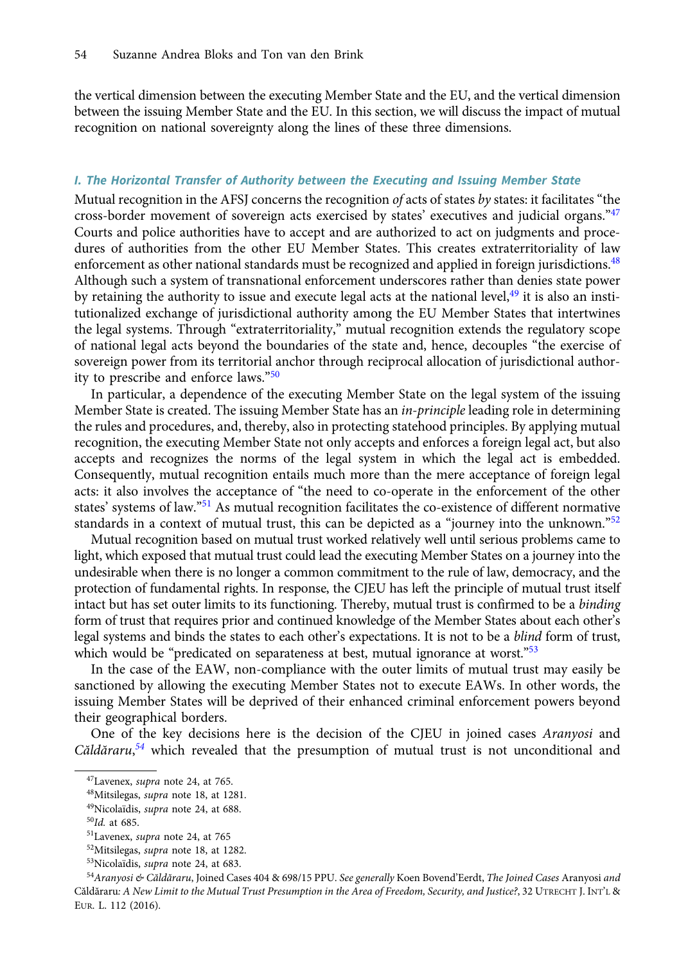the vertical dimension between the executing Member State and the EU, and the vertical dimension between the issuing Member State and the EU. In this section, we will discuss the impact of mutual recognition on national sovereignty along the lines of these three dimensions.

### I. The Horizontal Transfer of Authority between the Executing and Issuing Member State

Mutual recognition in the AFSJ concerns the recognition of acts of states by states: it facilitates "the cross-border movement of sovereign acts exercised by states' executives and judicial organs."<sup>47</sup> Courts and police authorities have to accept and are authorized to act on judgments and procedures of authorities from the other EU Member States. This creates extraterritoriality of law enforcement as other national standards must be recognized and applied in foreign jurisdictions.<sup>48</sup> Although such a system of transnational enforcement underscores rather than denies state power by retaining the authority to issue and execute legal acts at the national level,<sup>49</sup> it is also an institutionalized exchange of jurisdictional authority among the EU Member States that intertwines the legal systems. Through "extraterritoriality," mutual recognition extends the regulatory scope of national legal acts beyond the boundaries of the state and, hence, decouples "the exercise of sovereign power from its territorial anchor through reciprocal allocation of jurisdictional authority to prescribe and enforce laws."<sup>50</sup>

In particular, a dependence of the executing Member State on the legal system of the issuing Member State is created. The issuing Member State has an *in-principle* leading role in determining the rules and procedures, and, thereby, also in protecting statehood principles. By applying mutual recognition, the executing Member State not only accepts and enforces a foreign legal act, but also accepts and recognizes the norms of the legal system in which the legal act is embedded. Consequently, mutual recognition entails much more than the mere acceptance of foreign legal acts: it also involves the acceptance of "the need to co-operate in the enforcement of the other states' systems of law."<sup>51</sup> As mutual recognition facilitates the co-existence of different normative standards in a context of mutual trust, this can be depicted as a "journey into the unknown." $52$ 

Mutual recognition based on mutual trust worked relatively well until serious problems came to light, which exposed that mutual trust could lead the executing Member States on a journey into the undesirable when there is no longer a common commitment to the rule of law, democracy, and the protection of fundamental rights. In response, the CJEU has left the principle of mutual trust itself intact but has set outer limits to its functioning. Thereby, mutual trust is confirmed to be a binding form of trust that requires prior and continued knowledge of the Member States about each other's legal systems and binds the states to each other's expectations. It is not to be a *blind* form of trust, which would be "predicated on separateness at best, mutual ignorance at worst."<sup>53</sup>

In the case of the EAW, non-compliance with the outer limits of mutual trust may easily be sanctioned by allowing the executing Member States not to execute EAWs. In other words, the issuing Member States will be deprived of their enhanced criminal enforcement powers beyond their geographical borders.

One of the key decisions here is the decision of the CJEU in joined cases Aranyosi and Căldăraru,<sup>54</sup> which revealed that the presumption of mutual trust is not unconditional and

<sup>&</sup>lt;sup>47</sup>Lavenex, *supra* note 24, at 765.

<sup>48</sup>Mitsilegas, supra note 18, at 1281.

<sup>49</sup>Nicolaïdis, supra note 24, at 688.

 $50$ Id. at 685.

<sup>51</sup>Lavenex, supra note 24, at 765

<sup>52</sup>Mitsilegas, supra note 18, at 1282.

<sup>&</sup>lt;sup>53</sup>Nicolaïdis, *supra* note 24, at 683.

<sup>&</sup>lt;sup>54</sup>Aranyosi & Căldăraru, Joined Cases 404 & 698/15 PPU. See generally Koen Bovend'Eerdt, The Joined Cases Aranyosi and Căldăraru: A New Limit to the Mutual Trust Presumption in the Area of Freedom, Security, and Justice?, 32 UTRECHT J. INT'L & EUR. L. 112 (2016).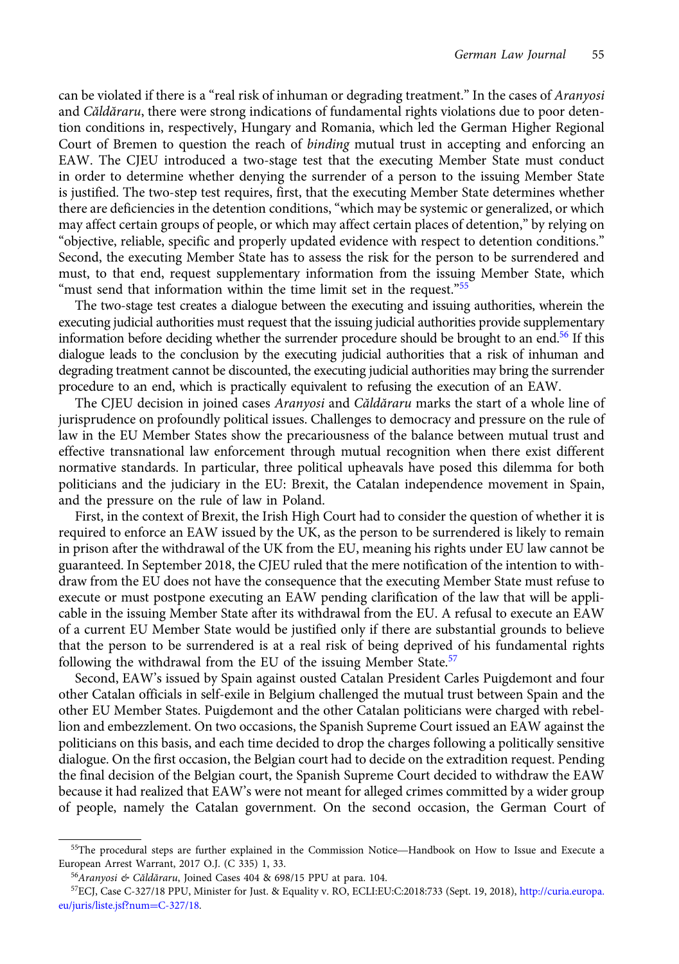can be violated if there is a "real risk of inhuman or degrading treatment." In the cases of Aranyosi and Căldăraru, there were strong indications of fundamental rights violations due to poor detention conditions in, respectively, Hungary and Romania, which led the German Higher Regional Court of Bremen to question the reach of binding mutual trust in accepting and enforcing an EAW. The CJEU introduced a two-stage test that the executing Member State must conduct in order to determine whether denying the surrender of a person to the issuing Member State is justified. The two-step test requires, first, that the executing Member State determines whether there are deficiencies in the detention conditions, "which may be systemic or generalized, or which may affect certain groups of people, or which may affect certain places of detention," by relying on "objective, reliable, specific and properly updated evidence with respect to detention conditions." Second, the executing Member State has to assess the risk for the person to be surrendered and must, to that end, request supplementary information from the issuing Member State, which "must send that information within the time limit set in the request."<sup>55</sup>

The two-stage test creates a dialogue between the executing and issuing authorities, wherein the executing judicial authorities must request that the issuing judicial authorities provide supplementary information before deciding whether the surrender procedure should be brought to an end.<sup>56</sup> If this dialogue leads to the conclusion by the executing judicial authorities that a risk of inhuman and degrading treatment cannot be discounted, the executing judicial authorities may bring the surrender procedure to an end, which is practically equivalent to refusing the execution of an EAW.

The CJEU decision in joined cases Aranyosi and Căldăraru marks the start of a whole line of jurisprudence on profoundly political issues. Challenges to democracy and pressure on the rule of law in the EU Member States show the precariousness of the balance between mutual trust and effective transnational law enforcement through mutual recognition when there exist different normative standards. In particular, three political upheavals have posed this dilemma for both politicians and the judiciary in the EU: Brexit, the Catalan independence movement in Spain, and the pressure on the rule of law in Poland.

First, in the context of Brexit, the Irish High Court had to consider the question of whether it is required to enforce an EAW issued by the UK, as the person to be surrendered is likely to remain in prison after the withdrawal of the UK from the EU, meaning his rights under EU law cannot be guaranteed. In September 2018, the CJEU ruled that the mere notification of the intention to withdraw from the EU does not have the consequence that the executing Member State must refuse to execute or must postpone executing an EAW pending clarification of the law that will be applicable in the issuing Member State after its withdrawal from the EU. A refusal to execute an EAW of a current EU Member State would be justified only if there are substantial grounds to believe that the person to be surrendered is at a real risk of being deprived of his fundamental rights following the withdrawal from the EU of the issuing Member State.<sup>57</sup>

Second, EAW's issued by Spain against ousted Catalan President Carles Puigdemont and four other Catalan officials in self-exile in Belgium challenged the mutual trust between Spain and the other EU Member States. Puigdemont and the other Catalan politicians were charged with rebellion and embezzlement. On two occasions, the Spanish Supreme Court issued an EAW against the politicians on this basis, and each time decided to drop the charges following a politically sensitive dialogue. On the first occasion, the Belgian court had to decide on the extradition request. Pending the final decision of the Belgian court, the Spanish Supreme Court decided to withdraw the EAW because it had realized that EAW's were not meant for alleged crimes committed by a wider group of people, namely the Catalan government. On the second occasion, the German Court of<br><sup>55</sup>The procedural steps are further explained in the Commission Notice—Handbook on How to Issue and Execute a

European Arrest Warrant, 2017 O.J. (C 335) 1, 33.

<sup>56</sup>Aranyosi & Căldăraru, Joined Cases 404 & 698/15 PPU at para. 104.

<sup>57</sup>ECJ, Case C-327/18 PPU, Minister for Just. & Equality v. RO, ECLI:EU:C:2018:733 (Sept. 19, 2018), [http://curia.europa.](http://curia.europa.eu/juris/liste.jsf?num%3dC-327/18) [eu/juris/liste.jsf?num](http://curia.europa.eu/juris/liste.jsf?num%3dC-327/18)=[C-327/18.](http://curia.europa.eu/juris/liste.jsf?num%3dC-327/18)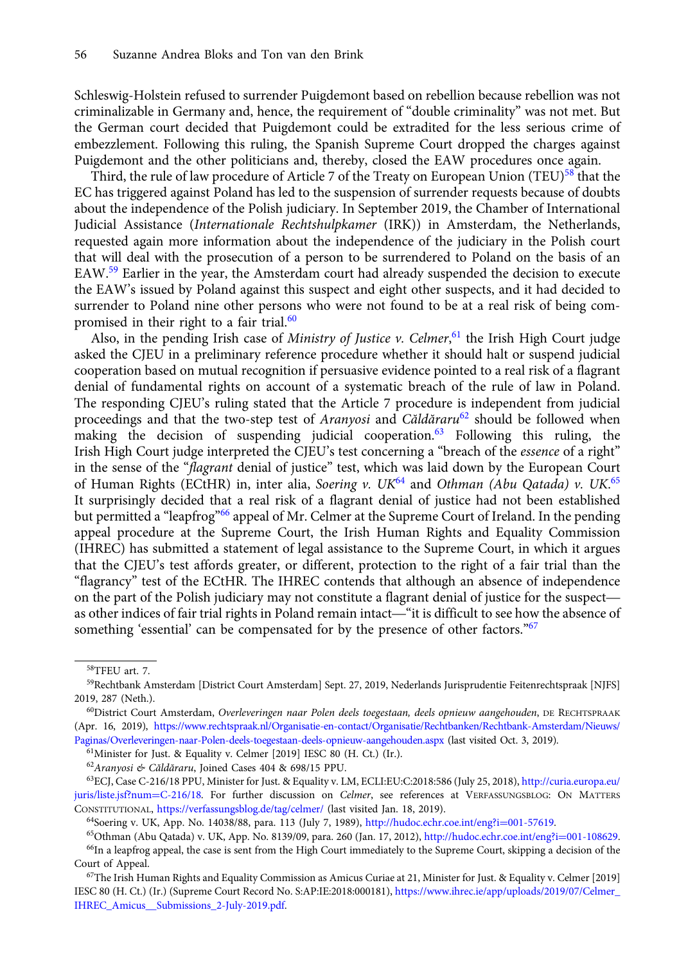Schleswig-Holstein refused to surrender Puigdemont based on rebellion because rebellion was not criminalizable in Germany and, hence, the requirement of "double criminality" was not met. But the German court decided that Puigdemont could be extradited for the less serious crime of embezzlement. Following this ruling, the Spanish Supreme Court dropped the charges against Puigdemont and the other politicians and, thereby, closed the EAW procedures once again.

Third, the rule of law procedure of Article 7 of the Treaty on European Union (TEU)<sup>58</sup> that the EC has triggered against Poland has led to the suspension of surrender requests because of doubts about the independence of the Polish judiciary. In September 2019, the Chamber of International Judicial Assistance (Internationale Rechtshulpkamer (IRK)) in Amsterdam, the Netherlands, requested again more information about the independence of the judiciary in the Polish court that will deal with the prosecution of a person to be surrendered to Poland on the basis of an EAW.59 Earlier in the year, the Amsterdam court had already suspended the decision to execute the EAW's issued by Poland against this suspect and eight other suspects, and it had decided to surrender to Poland nine other persons who were not found to be at a real risk of being compromised in their right to a fair trial.<sup>60</sup>

Also, in the pending Irish case of Ministry of Justice v. Celmer,<sup>61</sup> the Irish High Court judge asked the CJEU in a preliminary reference procedure whether it should halt or suspend judicial cooperation based on mutual recognition if persuasive evidence pointed to a real risk of a flagrant denial of fundamental rights on account of a systematic breach of the rule of law in Poland. The responding CJEU's ruling stated that the Article 7 procedure is independent from judicial proceedings and that the two-step test of Aranyosi and Căldăraru<sup>62</sup> should be followed when making the decision of suspending judicial cooperation.<sup>63</sup> Following this ruling, the Irish High Court judge interpreted the CJEU's test concerning a "breach of the essence of a right" in the sense of the "flagrant denial of justice" test, which was laid down by the European Court of Human Rights (ECtHR) in, inter alia, Soering v. UK<sup>64</sup> and Othman (Abu Qatada) v. UK.<sup>65</sup> It surprisingly decided that a real risk of a flagrant denial of justice had not been established but permitted a "leapfrog"<sup>66</sup> appeal of Mr. Celmer at the Supreme Court of Ireland. In the pending appeal procedure at the Supreme Court, the Irish Human Rights and Equality Commission (IHREC) has submitted a statement of legal assistance to the Supreme Court, in which it argues that the CJEU's test affords greater, or different, protection to the right of a fair trial than the "flagrancy" test of the ECtHR. The IHREC contends that although an absence of independence appear procedure at the supreme Court, the Irish Human Rights and Equality Commission<br>(IHREC) has submitted a statement of legal assistance to the Supreme Court, in which it argues<br>that the CJEU's test affords greater, or on the part of the Polish judiciary may not constitute a flagrant denial of justice for the suspect—<br>as other indices of fair trial rights in Poland remain intact—"it is difficult to see how the absence of something 'essential' can be compensated for by the presence of other factors."<sup>67</sup>

61Minister for Just. & Equality v. Celmer [2019] IESC 80 (H. Ct.) (Ir.).

<sup>62</sup>Aranyosi & Căldăraru, Joined Cases 404 & 698/15 PPU.

<sup>58</sup>TFEU art. 7.

<sup>59</sup>Rechtbank Amsterdam [District Court Amsterdam] Sept. 27, 2019, Nederlands Jurisprudentie Feitenrechtspraak [NJFS] 2019, 287 (Neth.).

<sup>60</sup>District Court Amsterdam, Overleveringen naar Polen deels toegestaan, deels opnieuw aangehouden, DE RECHTSPRAAK (Apr. 16, 2019), [https://www.rechtspraak.nl/Organisatie-en-contact/Organisatie/Rechtbanken/Rechtbank-Amsterdam/Nieuws/](https://www.rechtspraak.nl/Organisatie-en-contact/Organisatie/Rechtbanken/Rechtbank-Amsterdam/Nieuws/Paginas/Overleveringen-naar-Polen-deels-toegestaan-deels-opnieuw-aangehouden.aspx) [Paginas/Overleveringen-naar-Polen-deels-toegestaan-deels-opnieuw-aangehouden.aspx](https://www.rechtspraak.nl/Organisatie-en-contact/Organisatie/Rechtbanken/Rechtbank-Amsterdam/Nieuws/Paginas/Overleveringen-naar-Polen-deels-toegestaan-deels-opnieuw-aangehouden.aspx) (last visited Oct. 3, 2019).

<sup>63</sup>ECJ, Case C-216/18 PPU, Minister for Just. & Equality v. LM, ECLI:EU:C:2018:586 (July 25, 2018), [http://curia.europa.eu/](http://curia.europa.eu/juris/liste.jsf?num%3dC-216/18) [juris/liste.jsf?num](http://curia.europa.eu/juris/liste.jsf?num%3dC-216/18)=[C-216/18](http://curia.europa.eu/juris/liste.jsf?num%3dC-216/18). For further discussion on Celmer, see references at VERFASSUNGSBLOG: ON MATTERS CONSTITUTIONAL, <https://verfassungsblog.de/tag/celmer/> (last visited Jan. 18, 2019).

<sup>64</sup>Soering v. UK, App. No. 14038/88, para. 113 (July 7, 1989), [http://hudoc.echr.coe.int/eng?i](http://hudoc.echr.coe.int/eng?i%3d001-57619)=[001-57619](http://hudoc.echr.coe.int/eng?i%3d001-57619).

<sup>65</sup>Othman (Abu Qatada) v. UK, App. No. 8139/09, para. 260 (Jan. 17, 2012), [http://hudoc.echr.coe.int/eng?i](http://hudoc.echr.coe.int/eng?i%3d001-108629)=[001-108629.](http://hudoc.echr.coe.int/eng?i%3d001-108629) 66In a leapfrog appeal, the case is sent from the High Court immediately to the Supreme Court, skipping a decision of the Court of Appeal.

 $67$ The Irish Human Rights and Equality Commission as Amicus Curiae at 21, Minister for Just. & Equality v. Celmer [2019] IESC 80 (H. Ct.) (Ir.) (Supreme Court Record No. S:AP:IE:2018:000181), [https://www.ihrec.ie/app/uploads/2019/07/Celmer\\_](https://www.ihrec.ie/app/uploads/2019/07/Celmer_IHREC_Amicus__Submissions_2-July-2019.pdf) [IHREC\\_Amicus\\_\\_Submissions\\_2-July-2019.pdf.](https://www.ihrec.ie/app/uploads/2019/07/Celmer_IHREC_Amicus__Submissions_2-July-2019.pdf)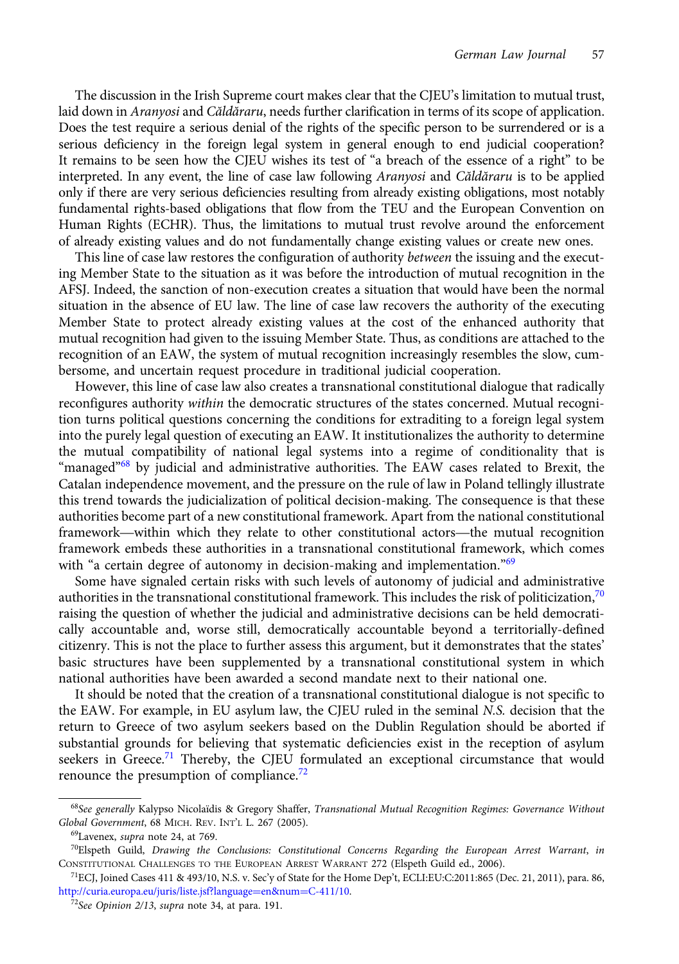The discussion in the Irish Supreme court makes clear that the CJEU's limitation to mutual trust, laid down in Aranyosi and Căldăraru, needs further clarification in terms of its scope of application. Does the test require a serious denial of the rights of the specific person to be surrendered or is a serious deficiency in the foreign legal system in general enough to end judicial cooperation? It remains to be seen how the CJEU wishes its test of "a breach of the essence of a right" to be interpreted. In any event, the line of case law following Aranyosi and Căldăraru is to be applied only if there are very serious deficiencies resulting from already existing obligations, most notably fundamental rights-based obligations that flow from the TEU and the European Convention on Human Rights (ECHR). Thus, the limitations to mutual trust revolve around the enforcement of already existing values and do not fundamentally change existing values or create new ones.

This line of case law restores the configuration of authority between the issuing and the executing Member State to the situation as it was before the introduction of mutual recognition in the AFSJ. Indeed, the sanction of non-execution creates a situation that would have been the normal situation in the absence of EU law. The line of case law recovers the authority of the executing Member State to protect already existing values at the cost of the enhanced authority that mutual recognition had given to the issuing Member State. Thus, as conditions are attached to the recognition of an EAW, the system of mutual recognition increasingly resembles the slow, cumbersome, and uncertain request procedure in traditional judicial cooperation.

However, this line of case law also creates a transnational constitutional dialogue that radically reconfigures authority within the democratic structures of the states concerned. Mutual recognition turns political questions concerning the conditions for extraditing to a foreign legal system into the purely legal question of executing an EAW. It institutionalizes the authority to determine the mutual compatibility of national legal systems into a regime of conditionality that is "managed"<sup>68</sup> by judicial and administrative authorities. The EAW cases related to Brexit, the Catalan independence movement, and the pressure on the rule of law in Poland tellingly illustrate this trend towards the judicialization of political decision-making. The consequence is that these authorities become part of a new constitutional framework. Apart from the national constitutional framaged they judicial and administrative authorities. The EAW cases related to Brexit, the Catalan independence movement, and the pressure on the rule of law in Poland tellingly illustrate this trend towards the judiciali framework embeds these authorities in a transnational constitutional framework, which comes with "a certain degree of autonomy in decision-making and implementation."<sup>69</sup>

Some have signaled certain risks with such levels of autonomy of judicial and administrative authorities in the transnational constitutional framework. This includes the risk of politicization,  $70$ raising the question of whether the judicial and administrative decisions can be held democratically accountable and, worse still, democratically accountable beyond a territorially-defined citizenry. This is not the place to further assess this argument, but it demonstrates that the states' basic structures have been supplemented by a transnational constitutional system in which national authorities have been awarded a second mandate next to their national one.

It should be noted that the creation of a transnational constitutional dialogue is not specific to the EAW. For example, in EU asylum law, the CJEU ruled in the seminal N.S. decision that the return to Greece of two asylum seekers based on the Dublin Regulation should be aborted if substantial grounds for believing that systematic deficiencies exist in the reception of asylum seekers in Greece.<sup>71</sup> Thereby, the CJEU formulated an exceptional circumstance that would renounce the presumption of compliance.<sup>72</sup>

<sup>&</sup>lt;sup>68</sup>See generally Kalypso Nicolaïdis & Gregory Shaffer, Transnational Mutual Recognition Regimes: Governance Without Global Government, 68 MICH. REV. INT'L L. 267 (2005).

<sup>69</sup>Lavenex, supra note 24, at 769.

 $^{70}$ Elspeth Guild, Drawing the Conclusions: Constitutional Concerns Regarding the European Arrest Warrant, in CONSTITUTIONAL CHALLENGES TO THE EUROPEAN ARREST WARRANT 272 (Elspeth Guild ed., 2006).

<sup>71</sup>ECJ, Joined Cases 411 & 493/10, N.S. v. Sec'y of State for the Home Dep't, ECLI:EU:C:2011:865 (Dec. 21, 2011), para. 86, [http://curia.europa.eu/juris/liste.jsf?language](http://curia.europa.eu/juris/liste.jsf?language%3den&num%3dC-411/10)=[en&num](http://curia.europa.eu/juris/liste.jsf?language%3den&num%3dC-411/10)=[C-411/10.](http://curia.europa.eu/juris/liste.jsf?language%3den&num%3dC-411/10)

<sup>72</sup>See Opinion 2/13, supra note 34, at para. 191.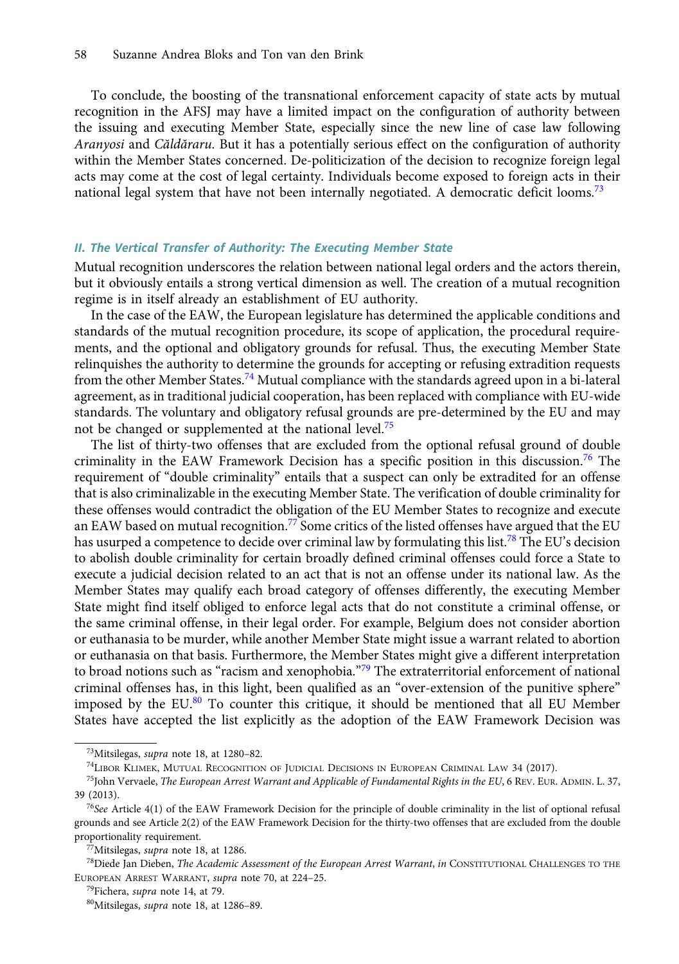To conclude, the boosting of the transnational enforcement capacity of state acts by mutual recognition in the AFSJ may have a limited impact on the configuration of authority between the issuing and executing Member State, especially since the new line of case law following Aranyosi and Căldăraru. But it has a potentially serious effect on the configuration of authority within the Member States concerned. De-politicization of the decision to recognize foreign legal acts may come at the cost of legal certainty. Individuals become exposed to foreign acts in their national legal system that have not been internally negotiated. A democratic deficit looms.<sup>73</sup>

### II. The Vertical Transfer of Authority: The Executing Member State

Mutual recognition underscores the relation between national legal orders and the actors therein, but it obviously entails a strong vertical dimension as well. The creation of a mutual recognition regime is in itself already an establishment of EU authority.

In the case of the EAW, the European legislature has determined the applicable conditions and standards of the mutual recognition procedure, its scope of application, the procedural requirements, and the optional and obligatory grounds for refusal. Thus, the executing Member State relinquishes the authority to determine the grounds for accepting or refusing extradition requests from the other Member States.<sup>74</sup> Mutual compliance with the standards agreed upon in a bi-lateral agreement, as in traditional judicial cooperation, has been replaced with compliance with EU-wide standards. The voluntary and obligatory refusal grounds are pre-determined by the EU and may not be changed or supplemented at the national level.<sup>75</sup>

The list of thirty-two offenses that are excluded from the optional refusal ground of double criminality in the EAW Framework Decision has a specific position in this discussion.<sup>76</sup> The requirement of "double criminality" entails that a suspect can only be extradited for an offense that is also criminalizable in the executing Member State. The verification of double criminality for these offenses would contradict the obligation of the EU Member States to recognize and execute an EAW based on mutual recognition.<sup>77</sup> Some critics of the listed offenses have argued that the EU has usurped a competence to decide over criminal law by formulating this list.<sup>78</sup> The EU's decision to abolish double criminality for certain broadly defined criminal offenses could force a State to execute a judicial decision related to an act that is not an offense under its national law. As the Member States may qualify each broad category of offenses differently, the executing Member State might find itself obliged to enforce legal acts that do not constitute a criminal offense, or the same criminal offense, in their legal order. For example, Belgium does not consider abortion or euthanasia to be murder, while another Member State might issue a warrant related to abortion or euthanasia on that basis. Furthermore, the Member States might give a different interpretation to broad notions such as "racism and xenophobia."<sup>79</sup> The extraterritorial enforcement of national criminal offenses has, in this light, been qualified as an "over-extension of the punitive sphere" imposed by the EU.<sup>80</sup> To counter this critique, it should be mentioned that all EU Member States have accepted the list explicitly as the adoption of the EAW Framework Decision was

<sup>&</sup>lt;sup>73</sup>Mitsilegas, *supra* note 18, at 1280-82.

<sup>74</sup>LIBOR KLIMEK, MUTUAL RECOGNITION OF JUDICIAL DECISIONS IN EUROPEAN CRIMINAL LAW 34 (2017).

 $^{75}$ John Vervaele, The European Arrest Warrant and Applicable of Fundamental Rights in the EU, 6 REV. EUR. ADMIN. L. 37, 39 (2013).

<sup>76</sup>See Article 4(1) of the EAW Framework Decision for the principle of double criminality in the list of optional refusal grounds and see Article 2(2) of the EAW Framework Decision for the thirty-two offenses that are excluded from the double proportionality requirement.

<sup>77</sup>Mitsilegas, supra note 18, at 1286.

<sup>&</sup>lt;sup>78</sup>Diede Jan Dieben, The Academic Assessment of the European Arrest Warrant, in CONSTITUTIONAL CHALLENGES TO THE EUROPEAN ARREST WARRANT, supra note 70, at 224–25.

<sup>79</sup>Fichera, supra note 14, at 79.

<sup>80</sup>Mitsilegas, supra note 18, at 1286–89.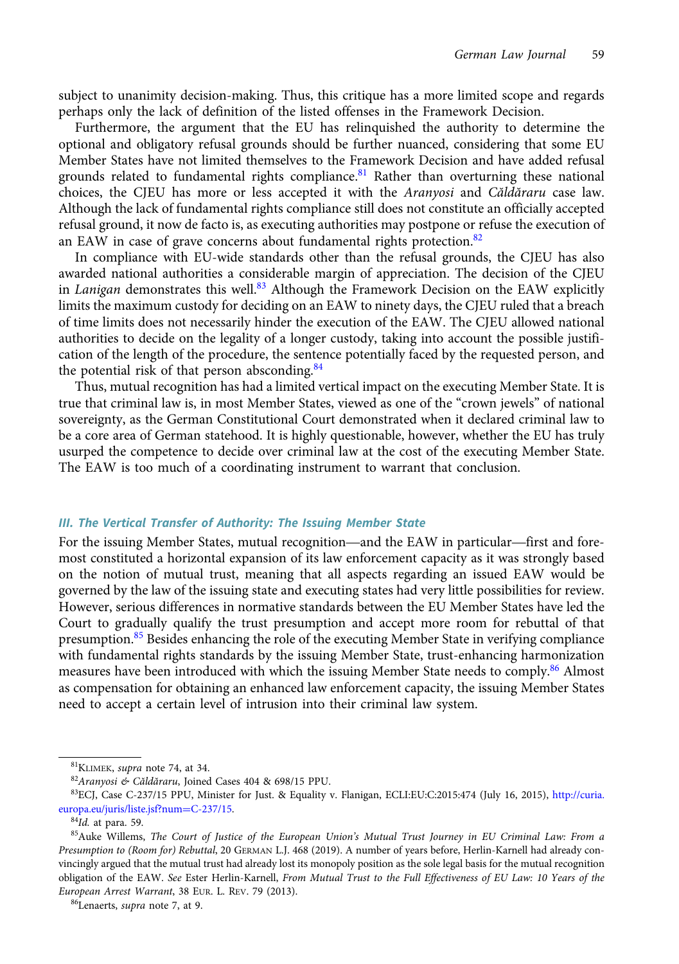subject to unanimity decision-making. Thus, this critique has a more limited scope and regards perhaps only the lack of definition of the listed offenses in the Framework Decision.

Furthermore, the argument that the EU has relinquished the authority to determine the optional and obligatory refusal grounds should be further nuanced, considering that some EU Member States have not limited themselves to the Framework Decision and have added refusal grounds related to fundamental rights compliance.<sup>81</sup> Rather than overturning these national choices, the CJEU has more or less accepted it with the Aranyosi and Căldăraru case law. Although the lack of fundamental rights compliance still does not constitute an officially accepted refusal ground, it now de facto is, as executing authorities may postpone or refuse the execution of an EAW in case of grave concerns about fundamental rights protection.<sup>82</sup>

In compliance with EU-wide standards other than the refusal grounds, the CJEU has also awarded national authorities a considerable margin of appreciation. The decision of the CJEU in Lanigan demonstrates this well.<sup>83</sup> Although the Framework Decision on the EAW explicitly limits the maximum custody for deciding on an EAW to ninety days, the CJEU ruled that a breach of time limits does not necessarily hinder the execution of the EAW. The CJEU allowed national authorities to decide on the legality of a longer custody, taking into account the possible justification of the length of the procedure, the sentence potentially faced by the requested person, and the potential risk of that person absconding.<sup>84</sup>

Thus, mutual recognition has had a limited vertical impact on the executing Member State. It is true that criminal law is, in most Member States, viewed as one of the "crown jewels" of national sovereignty, as the German Constitutional Court demonstrated when it declared criminal law to be a core area of German statehood. It is highly questionable, however, whether the EU has truly usurped the competence to decide over criminal law at the cost of the executing Member State. The EAW is too much of a coordinating instrument to warrant that conclusion.

#### III. The Vertical Transfer of Authority: The Issuing Member State

For the issuing Member States, mutual recognition—and the EAW in particular—first and foremost constituted a horizontal expansion of its law enforcement capacity as it was strongly based on the notion of mutual trust, meaning that all aspects regarding an issued EAW would be governed by the law of the issuing state and executing states had very little possibilities for review. However, serious differences in normative standards between the EU Member States have led the Court to gradually qualify the trust presumption and accept more room for rebuttal of that presumption.<sup>85</sup> Besides enhancing the role of the executing Member State in verifying compliance with fundamental rights standards by the issuing Member State, trust-enhancing harmonization measures have been introduced with which the issuing Member State needs to comply.<sup>86</sup> Almost as compensation for obtaining an enhanced law enforcement capacity, the issuing Member States need to accept a certain level of intrusion into their criminal law system.

<sup>81</sup>KLIMEK, supra note 74, at 34.

<sup>82</sup>Aranyosi & Căldăraru, Joined Cases 404 & 698/15 PPU.

<sup>83</sup>ECJ, Case C-237/15 PPU, Minister for Just. & Equality v. Flanigan, ECLI:EU:C:2015:474 (July 16, 2015), [http://curia.](http://curia.europa.eu/juris/liste.jsf?num%3dC-237/15) [europa.eu/juris/liste.jsf?num](http://curia.europa.eu/juris/liste.jsf?num%3dC-237/15)=[C-237/15](http://curia.europa.eu/juris/liste.jsf?num%3dC-237/15).

 $84$ Id. at para. 59.

<sup>&</sup>lt;sup>85</sup>Auke Willems, The Court of Justice of the European Union's Mutual Trust Journey in EU Criminal Law: From a Presumption to (Room for) Rebuttal, 20 GERMAN L.J. 468 (2019). A number of years before, Herlin-Karnell had already convincingly argued that the mutual trust had already lost its monopoly position as the sole legal basis for the mutual recognition obligation of the EAW. See Ester Herlin-Karnell, From Mutual Trust to the Full Effectiveness of EU Law: 10 Years of the European Arrest Warrant, 38 EUR. L. REV. 79 (2013).

<sup>86</sup>Lenaerts, supra note 7, at 9.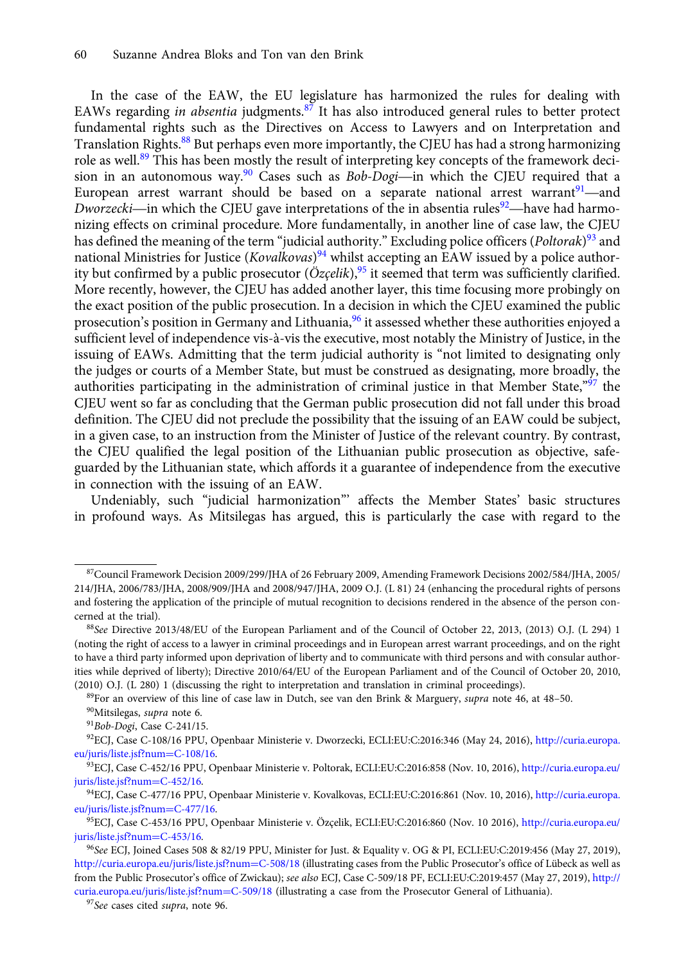In the case of the EAW, the EU legislature has harmonized the rules for dealing with EAWs regarding *in absentia* judgments.<sup>87</sup> It has also introduced general rules to better protect fundamental rights such as the Directives on Access to Lawyers and on Interpretation and Translation Rights.<sup>88</sup> But perhaps even more importantly, the CJEU has had a strong harmonizing role as well.<sup>89</sup> This has been mostly the result of interpreting key concepts of the framework deci-<br>sion in an autonomous way.<sup>90</sup> Cases such as *Bob-Dogi*—in which the CJEU required that a EAWS regarding *m* absential judgments.<sup>11</sup> It has also introduced general rules to better protect fundamental rights such as the Directives on Access to Lawyers and on Interpretation and Translation Rights.<sup>88</sup> But perha Translation Rights.<sup>88</sup> But perhaps even more importantly, the CJEU has had a strong harmonizing role as well.<sup>89</sup> This has been mostly the result of interpreting key concepts of the framework decision in an autonomous wa European arrest warrant should be based on a separate national arrest warrant<sup>91</sup>—and *Dworzecki*—in which the CJEU gave interpretations of the in absentia rules<sup>92</sup>—have had harmonizing effects on criminal procedure. More fundamentally, in another line of case law, the CJEU has defined the meaning of the term "judicial authority." Excluding police officers (*Poltorak*)<sup>93</sup> and national Ministries for Justice (*Kovalkovas*)<sup>94</sup> whilst accepting an EAW issued by a police authority but confirmed by a public prosecutor  $(\ddot{O}z$ *celik*),<sup>95</sup> it seemed that term was sufficiently clarified. More recently, however, the CJEU has added another layer, this time focusing more probingly on the exact position of the public prosecution. In a decision in which the CJEU examined the public prosecution's position in Germany and Lithuania,<sup>96</sup> it assessed whether these authorities enjoyed a sufficient level of independence vis-à-vis the executive, most notably the Ministry of Justice, in the issuing of EAWs. Admitting that the term judicial authority is "not limited to designating only the judges or courts of a Member State, but must be construed as designating, more broadly, the authorities participating in the administration of criminal justice in that Member State,"<sup>97</sup> the CJEU went so far as concluding that the German public prosecution did not fall under this broad definition. The CJEU did not preclude the possibility that the issuing of an EAW could be subject, in a given case, to an instruction from the Minister of Justice of the relevant country. By contrast, the CJEU qualified the legal position of the Lithuanian public prosecution as objective, safeguarded by the Lithuanian state, which affords it a guarantee of independence from the executive in connection with the issuing of an EAW.

Undeniably, such "judicial harmonization"' affects the Member States' basic structures in profound ways. As Mitsilegas has argued, this is particularly the case with regard to the

89For an overview of this line of case law in Dutch, see van den Brink & Marguery, supra note 46, at 48–50.

<sup>87</sup>Council Framework Decision 2009/299/JHA of 26 February 2009, Amending Framework Decisions 2002/584/JHA, 2005/ 214/JHA, 2006/783/JHA, 2008/909/JHA and 2008/947/JHA, 2009 O.J. (L 81) 24 (enhancing the procedural rights of persons and fostering the application of the principle of mutual recognition to decisions rendered in the absence of the person concerned at the trial).

<sup>88</sup>See Directive 2013/48/EU of the European Parliament and of the Council of October 22, 2013, (2013) O.J. (L 294) 1 (noting the right of access to a lawyer in criminal proceedings and in European arrest warrant proceedings, and on the right to have a third party informed upon deprivation of liberty and to communicate with third persons and with consular authorities while deprived of liberty); Directive 2010/64/EU of the European Parliament and of the Council of October 20, 2010, (2010) O.J. (L 280) 1 (discussing the right to interpretation and translation in criminal proceedings).

<sup>90</sup>Mitsilegas, supra note 6.

<sup>91</sup>Bob-Dogi, Case C-241/15.

<sup>92</sup>ECJ, Case C-108/16 PPU, Openbaar Ministerie v. Dworzecki, ECLI:EU:C:2016:346 (May 24, 2016), [http://curia.europa.](http://curia.europa.eu/juris/liste.jsf?num%3dC-108/16) [eu/juris/liste.jsf?num](http://curia.europa.eu/juris/liste.jsf?num%3dC-108/16)=[C-108/16](http://curia.europa.eu/juris/liste.jsf?num%3dC-108/16).

<sup>93</sup>ECJ, Case C-452/16 PPU, Openbaar Ministerie v. Poltorak, ECLI:EU:C:2016:858 (Nov. 10, 2016), [http://curia.europa.eu/](http://curia.europa.eu/juris/liste.jsf?num%3dC-452/16) [juris/liste.jsf?num](http://curia.europa.eu/juris/liste.jsf?num%3dC-452/16)=[C-452/16](http://curia.europa.eu/juris/liste.jsf?num%3dC-452/16).

<sup>94</sup>ECJ, Case C-477/16 PPU, Openbaar Ministerie v. Kovalkovas, ECLI:EU:C:2016:861 (Nov. 10, 2016), [http://curia.europa.](http://curia.europa.eu/juris/liste.jsf?num%3dC-477/16) [eu/juris/liste.jsf?num](http://curia.europa.eu/juris/liste.jsf?num%3dC-477/16)=[C-477/16](http://curia.europa.eu/juris/liste.jsf?num%3dC-477/16).

<sup>95</sup>ECJ, Case C-453/16 PPU, Openbaar Ministerie v. Özçelik, ECLI:EU:C:2016:860 (Nov. 10 2016), [http://curia.europa.eu/](http://curia.europa.eu/juris/liste.jsf?num%3dC-453/16) [juris/liste.jsf?num](http://curia.europa.eu/juris/liste.jsf?num%3dC-453/16)=[C-453/16](http://curia.europa.eu/juris/liste.jsf?num%3dC-453/16).

<sup>96</sup>See ECJ, Joined Cases 508 & 82/19 PPU, Minister for Just. & Equality v. OG & PI, ECLI:EU:C:2019:456 (May 27, 2019), [http://curia.europa.eu/juris/liste.jsf?num](http://curia.europa.eu/juris/liste.jsf?num%3dC-508/18)=[C-508/18](http://curia.europa.eu/juris/liste.jsf?num%3dC-508/18) (illustrating cases from the Public Prosecutor's office of Lübeck as well as from the Public Prosecutor's office of Zwickau); see also ECJ, Case C-509/18 PF, ECLI:EU:C:2019:457 (May 27, 2019), [http://](http://curia.europa.eu/juris/liste.jsf?num%3dC-509/18) [curia.europa.eu/juris/liste.jsf?num](http://curia.europa.eu/juris/liste.jsf?num%3dC-509/18)=[C-509/18](http://curia.europa.eu/juris/liste.jsf?num%3dC-509/18) (illustrating a case from the Prosecutor General of Lithuania).

<sup>&</sup>lt;sup>97</sup>See cases cited supra, note 96.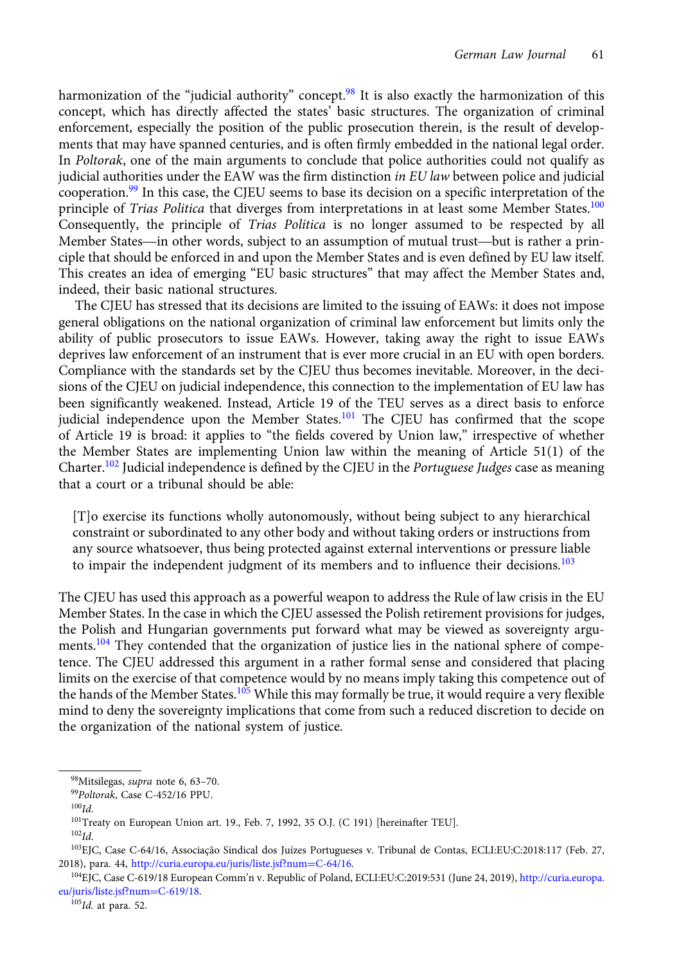harmonization of the "judicial authority" concept.<sup>98</sup> It is also exactly the harmonization of this concept, which has directly affected the states' basic structures. The organization of criminal enforcement, especially the position of the public prosecution therein, is the result of developments that may have spanned centuries, and is often firmly embedded in the national legal order. In Poltorak, one of the main arguments to conclude that police authorities could not qualify as judicial authorities under the EAW was the firm distinction in EU law between police and judicial cooperation.<sup>99</sup> In this case, the CJEU seems to base its decision on a specific interpretation of the principle of *Trias Politica* that diverges from interpretations in at least some Member States.<sup>100</sup> Consequently, the principle of Trias Politica is no longer assumed to be respected by all plute a authorities under the EAW was the firm usufficion *th* EO *taw* between police and judicial cooperation.<sup>99</sup> In this case, the CJEU seems to base its decision on a specific interpretation of the principle of *Tria* ciple that should be enforced in and upon the Member States and is even defined by EU law itself. This creates an idea of emerging "EU basic structures" that may affect the Member States and, indeed, their basic national structures.

The CJEU has stressed that its decisions are limited to the issuing of EAWs: it does not impose general obligations on the national organization of criminal law enforcement but limits only the ability of public prosecutors to issue EAWs. However, taking away the right to issue EAWs deprives law enforcement of an instrument that is ever more crucial in an EU with open borders. Compliance with the standards set by the CJEU thus becomes inevitable. Moreover, in the decisions of the CJEU on judicial independence, this connection to the implementation of EU law has been significantly weakened. Instead, Article 19 of the TEU serves as a direct basis to enforce judicial independence upon the Member States.<sup>101</sup> The CJEU has confirmed that the scope of Article 19 is broad: it applies to "the fields covered by Union law," irrespective of whether the Member States are implementing Union law within the meaning of Article 51(1) of the Charter.<sup>102</sup> Judicial independence is defined by the CJEU in the Portuguese Judges case as meaning that a court or a tribunal should be able:

[T]o exercise its functions wholly autonomously, without being subject to any hierarchical constraint or subordinated to any other body and without taking orders or instructions from any source whatsoever, thus being protected against external interventions or pressure liable to impair the independent judgment of its members and to influence their decisions.<sup>103</sup>

The CJEU has used this approach as a powerful weapon to address the Rule of law crisis in the EU Member States. In the case in which the CJEU assessed the Polish retirement provisions for judges, the Polish and Hungarian governments put forward what may be viewed as sovereignty arguments.<sup>104</sup> They contended that the organization of justice lies in the national sphere of competence. The CJEU addressed this argument in a rather formal sense and considered that placing limits on the exercise of that competence would by no means imply taking this competence out of the hands of the Member States.<sup>105</sup> While this may formally be true, it would require a very flexible mind to deny the sovereignty implications that come from such a reduced discretion to decide on the organization of the national system of justice.

<sup>105</sup>Id. at para. 52.

<sup>98</sup>Mitsilegas, supra note 6, 63–70.

<sup>99</sup>Poltorak, Case C-452/16 PPU.

 $100$ *Id.* 

<sup>&</sup>lt;sup>101</sup>Treaty on European Union art. 19., Feb. 7, 1992, 35 O.J. (C 191) [hereinafter TEU].

 $102$ Id.

<sup>103</sup>EJC, Case C-64/16, Associação Sindical dos Juízes Portugueses v. Tribunal de Contas, ECLI:EU:C:2018:117 (Feb. 27, 2018), para. 44, [http://curia.europa.eu/juris/liste.jsf?num](http://curia.europa.eu/juris/liste.jsf?num%3dC-64/16)=[C-64/16](http://curia.europa.eu/juris/liste.jsf?num%3dC-64/16).

<sup>104</sup>EJC, Case C-619/18 European Comm'n v. Republic of Poland, ECLI:EU:C:2019:531 (June 24, 2019), [http://curia.europa.](http://curia.europa.eu/juris/liste.jsf?num%3dC-619/18) [eu/juris/liste.jsf?num](http://curia.europa.eu/juris/liste.jsf?num%3dC-619/18)=[C-619/18.](http://curia.europa.eu/juris/liste.jsf?num%3dC-619/18)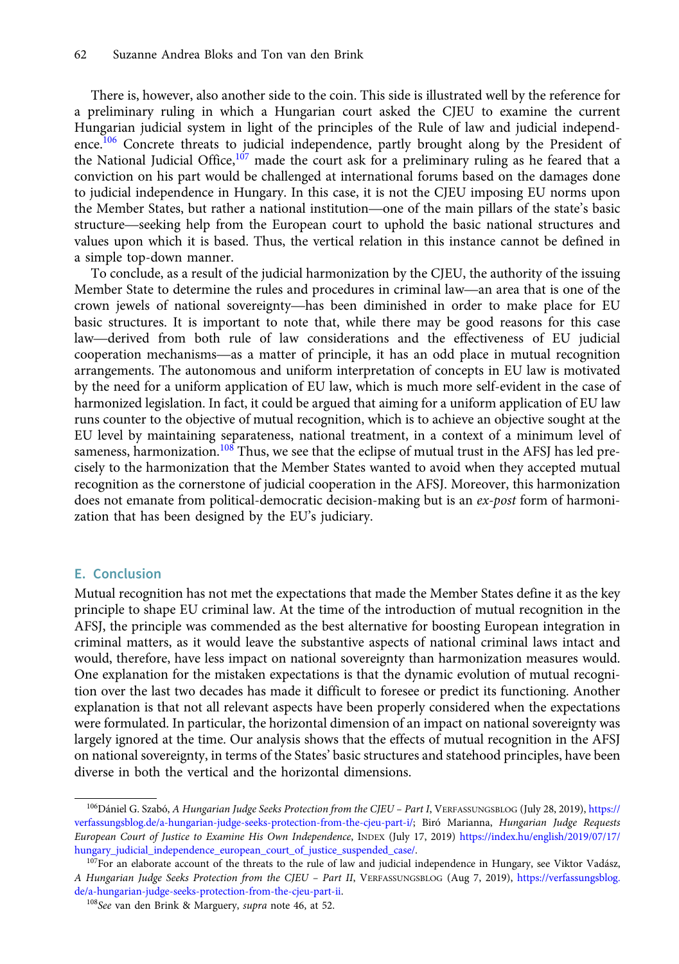There is, however, also another side to the coin. This side is illustrated well by the reference for a preliminary ruling in which a Hungarian court asked the CJEU to examine the current Hungarian judicial system in light of the principles of the Rule of law and judicial independence.<sup>106</sup> Concrete threats to judicial independence, partly brought along by the President of the National Judicial Office,<sup>107</sup> made the court ask for a preliminary ruling as he feared that a conviction on his part would be challenged at international forums based on the damages done to judicial independence in H conviction on his part would be challenged at international forums based on the damages done to judicial independence in Hungary. In this case, it is not the CJEU imposing EU norms upon the National Judicial Office, Thade the Court ask for a preliminary ruling as he leared that a<br>conviction on his part would be challenged at international forums based on the damages done<br>to judicial independence in Hungar values upon which it is based. Thus, the vertical relation in this instance cannot be defined in a simple top-down manner. Member State to determine the rules and procedures in criminal law—an area that is one of the rules are Member State to determine the rules and procedures in criminal law—an area that is one of the heat is one of the rules

To conclude, as a result of the judicial harmonization by the CJEU, the authority of the issuing values upon which it is based. Thus, the vertical relation in this instance cannot be defined in<br>a simple top-down manner.<br>To conclude, as a result of the judicial harmonization by the CJEU, the authority of the issuing<br>Me basic structures. It is important to note that, while there may be good reasons for this case Io conclude, as a result of the Judicial narmonization by the CJEO, the authority of the issuing<br>Member State to determine the rules and procedures in criminal law—an area that is one of the<br>crown jewels of national sovere Member State to determine the rules and procedures in criminal law—an area that is one of the crown jewels of national sovereignty—has been diminished in order to make place for EU basic structures. It is important to note arrangements. The autonomous and uniform interpretation of concepts in EU law is motivated by the need for a uniform application of EU law, which is much more self-evident in the case of harmonized legislation. In fact, it could be argued that aiming for a uniform application of EU law runs counter to the objective of mutual recognition, which is to achieve an objective sought at the EU level by maintaining separateness, national treatment, in a context of a minimum level of sameness, harmonization.<sup>108</sup> Thus, we see that the eclipse of mutual trust in the AFSJ has led precisely to the harmonization that the Member States wanted to avoid when they accepted mutual recognition as the cornerstone of judicial cooperation in the AFSJ. Moreover, this harmonization does not emanate from political-democratic decision-making but is an ex-post form of harmonization that has been designed by the EU's judiciary.

## E. Conclusion

Mutual recognition has not met the expectations that made the Member States define it as the key principle to shape EU criminal law. At the time of the introduction of mutual recognition in the AFSJ, the principle was commended as the best alternative for boosting European integration in criminal matters, as it would leave the substantive aspects of national criminal laws intact and would, therefore, have less impact on national sovereignty than harmonization measures would. One explanation for the mistaken expectations is that the dynamic evolution of mutual recognition over the last two decades has made it difficult to foresee or predict its functioning. Another explanation is that not all relevant aspects have been properly considered when the expectations were formulated. In particular, the horizontal dimension of an impact on national sovereignty was largely ignored at the time. Our analysis shows that the effects of mutual recognition in the AFSJ on national sovereignty, in terms of the States' basic structures and statehood principles, have been diverse in both the vertical and the horizontal dimensions.

<sup>106</sup> Dániel G. Szabó, A Hungarian Judge Seeks Protection from the CJEU - Part I, VERFASSUNGSBLOG (July 28, 2019), [https://](https://verfassungsblog.de/a-hungarian-judge-seeks-protection-from-the-cjeu-part-i/) [verfassungsblog.de/a-hungarian-judge-seeks-protection-from-the-cjeu-part-i/](https://verfassungsblog.de/a-hungarian-judge-seeks-protection-from-the-cjeu-part-i/); Biró Marianna, Hungarian Judge Requests European Court of Justice to Examine His Own Independence, INDEX (July 17, 2019) [https://index.hu/english/2019/07/17/](https://index.hu/english/2019/07/17/hungary_judicial_independence_european_court_of_justice_suspended_case/) [hungary\\_judicial\\_independence\\_european\\_court\\_of\\_justice\\_suspended\\_case/.](https://index.hu/english/2019/07/17/hungary_judicial_independence_european_court_of_justice_suspended_case/)

<sup>&</sup>lt;sup>107</sup>For an elaborate account of the threats to the rule of law and judicial independence in Hungary, see Viktor Vadász, A Hungarian Judge Seeks Protection from the CJEU – Part II, VERFASSUNGSBLOG (Aug 7, 2019), [https://verfassungsblog.](https://verfassungsblog.de/a-hungarian-judge-seeks-protection-from-the-cjeu-part-ii) [de/a-hungarian-judge-seeks-protection-from-the-cjeu-part-ii.](https://verfassungsblog.de/a-hungarian-judge-seeks-protection-from-the-cjeu-part-ii)

<sup>108</sup>See van den Brink & Marguery, supra note 46, at 52.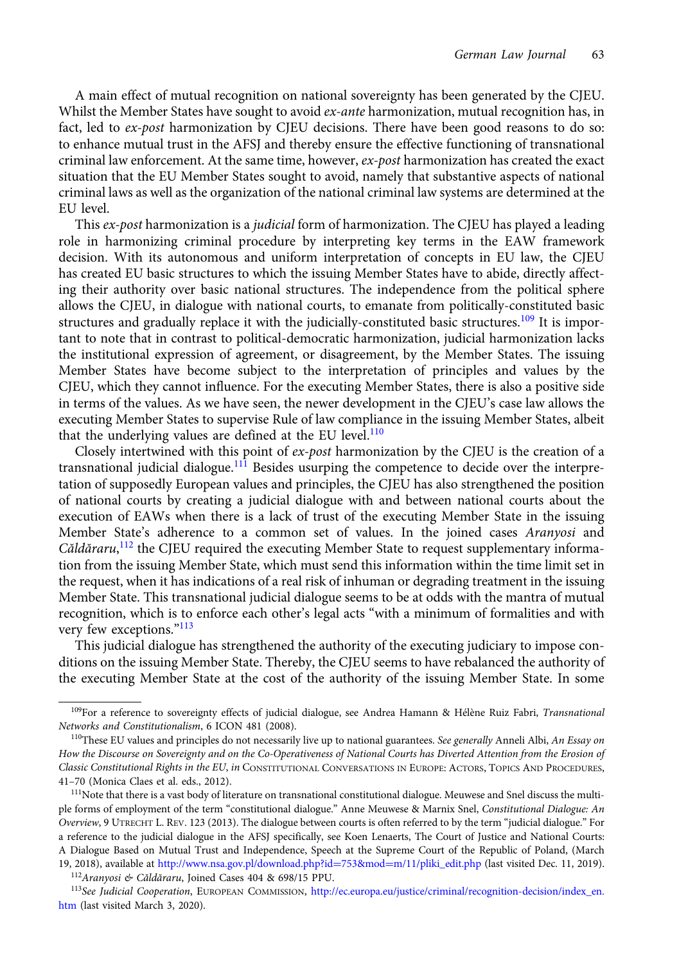A main effect of mutual recognition on national sovereignty has been generated by the CJEU. Whilst the Member States have sought to avoid  $ex$ -ante harmonization, mutual recognition has, in fact, led to ex-post harmonization by CJEU decisions. There have been good reasons to do so: to enhance mutual trust in the AFSJ and thereby ensure the effective functioning of transnational criminal law enforcement. At the same time, however, ex-post harmonization has created the exact situation that the EU Member States sought to avoid, namely that substantive aspects of national criminal laws as well as the organization of the national criminal law systems are determined at the EU level.

This ex-post harmonization is a judicial form of harmonization. The CJEU has played a leading role in harmonizing criminal procedure by interpreting key terms in the EAW framework decision. With its autonomous and uniform interpretation of concepts in EU law, the CJEU has created EU basic structures to which the issuing Member States have to abide, directly affecting their authority over basic national structures. The independence from the political sphere allows the CJEU, in dialogue with national courts, to emanate from politically-constituted basic structures and gradually replace it with the judicially-constituted basic structures.<sup>109</sup> It is important to note that in contrast to political-democratic harmonization, judicial harmonization lacks the institutional expression of agreement, or disagreement, by the Member States. The issuing Member States have become subject to the interpretation of principles and values by the CJEU, which they cannot influence. For the executing Member States, there is also a positive side in terms of the values. As we have seen, the newer development in the CJEU's case law allows the executing Member States to supervise Rule of law compliance in the issuing Member States, albeit that the underlying values are defined at the EU level.<sup>110</sup>

Closely intertwined with this point of ex-post harmonization by the CJEU is the creation of a transnational judicial dialogue.<sup>111</sup> Besides usurping the competence to decide over the interpretation of supposedly European values and principles, the CJEU has also strengthened the position of national courts by creating a judicial dialogue with and between national courts about the execution of EAWs when there is a lack of trust of the executing Member State in the issuing Member State's adherence to a common set of values. In the joined cases Aranyosi and Căldăraru,<sup>112</sup> the CJEU required the executing Member State to request supplementary information from the issuing Member State, which must send this information within the time limit set in the request, when it has indications of a real risk of inhuman or degrading treatment in the issuing Member State. This transnational judicial dialogue seems to be at odds with the mantra of mutual recognition, which is to enforce each other's legal acts "with a minimum of formalities and with very few exceptions."<sup>113</sup>

This judicial dialogue has strengthened the authority of the executing judiciary to impose conditions on the issuing Member State. Thereby, the CJEU seems to have rebalanced the authority of the executing Member State at the cost of the authority of the issuing Member State. In some

<sup>112</sup>Aranyosi & Căldăraru, Joined Cases 404 & 698/15 PPU.

<sup>&</sup>lt;sup>109</sup>For a reference to sovereignty effects of judicial dialogue, see Andrea Hamann & Hélène Ruiz Fabri, Transnational Networks and Constitutionalism, 6 ICON 481 (2008).

 $110$ These EU values and principles do not necessarily live up to national guarantees. See generally Anneli Albi, An Essay on How the Discourse on Sovereignty and on the Co-Operativeness of National Courts has Diverted Attention from the Erosion of Classic Constitutional Rights in the EU, in CONSTITUTIONAL CONVERSATIONS IN EUROPE: ACTORS, TOPICS AND PROCEDURES, 41–70 (Monica Claes et al. eds., 2012).

<sup>&</sup>lt;sup>111</sup>Note that there is a vast body of literature on transnational constitutional dialogue. Meuwese and Snel discuss the multiple forms of employment of the term "constitutional dialogue." Anne Meuwese & Marnix Snel, Constitutional Dialogue: An Overview,9UTRECHT L. REV. 123 (2013). The dialogue between courts is often referred to by the term "judicial dialogue." For a reference to the judicial dialogue in the AFSJ specifically, see Koen Lenaerts, The Court of Justice and National Courts: A Dialogue Based on Mutual Trust and Independence, Speech at the Supreme Court of the Republic of Poland, (March 19, 2018), available at [http://www.nsa.gov.pl/download.php?id](http://www.nsa.gov.pl/download.php?id%3d753&mod%3dm/11/pliki_edit.php)=[753&mod](http://www.nsa.gov.pl/download.php?id%3d753&mod%3dm/11/pliki_edit.php)=[m/11/pliki\\_edit.php](http://www.nsa.gov.pl/download.php?id%3d753&mod%3dm/11/pliki_edit.php) (last visited Dec. 11, 2019).

<sup>113</sup>See Judicial Cooperation, EUROPEAN COMMISSION, [http://ec.europa.eu/justice/criminal/recognition-decision/index\\_en.](http://ec.europa.eu/justice/criminal/recognition-decision/index_en.htm) [htm](http://ec.europa.eu/justice/criminal/recognition-decision/index_en.htm) (last visited March 3, 2020).